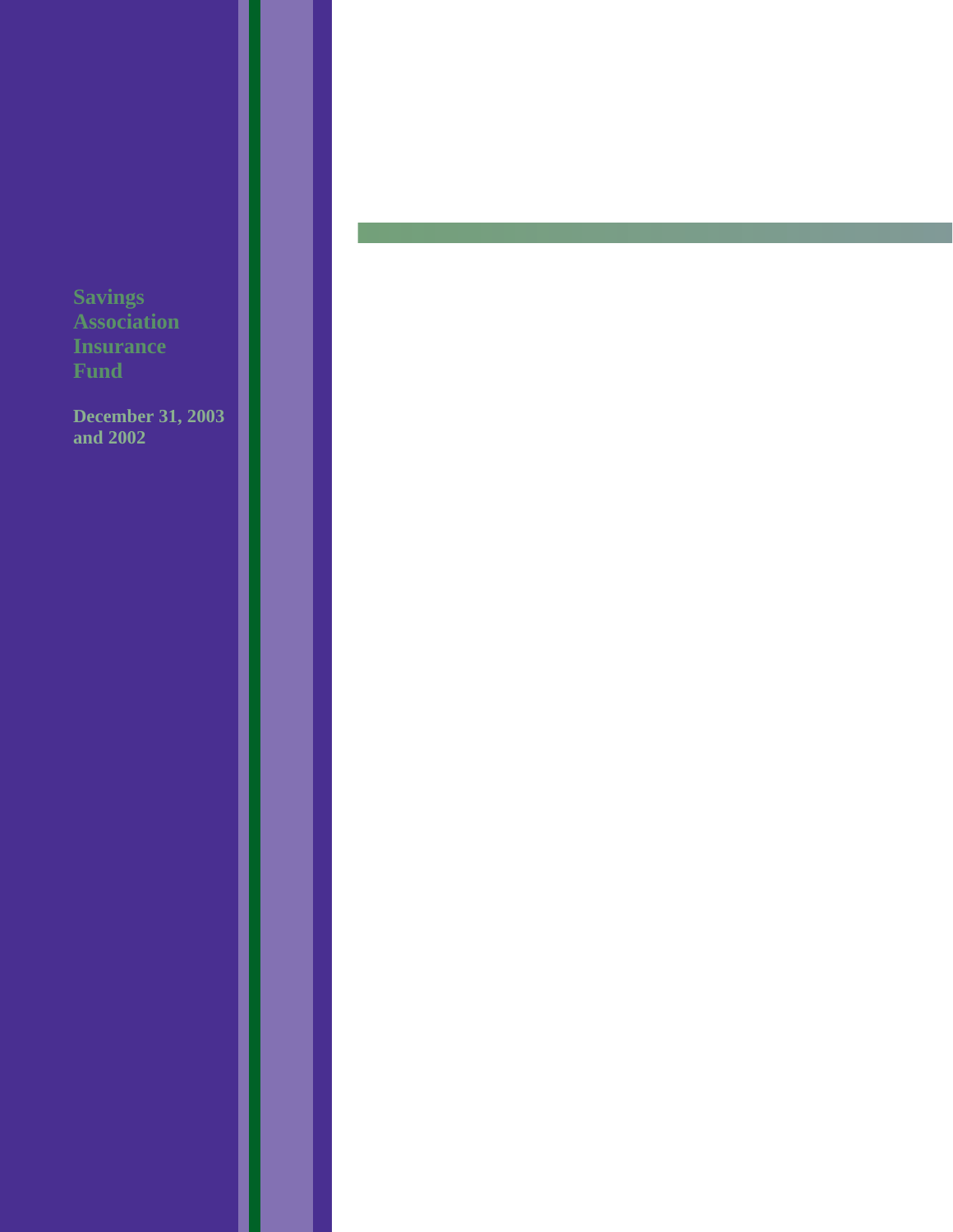**December 31, 2003 and 2002**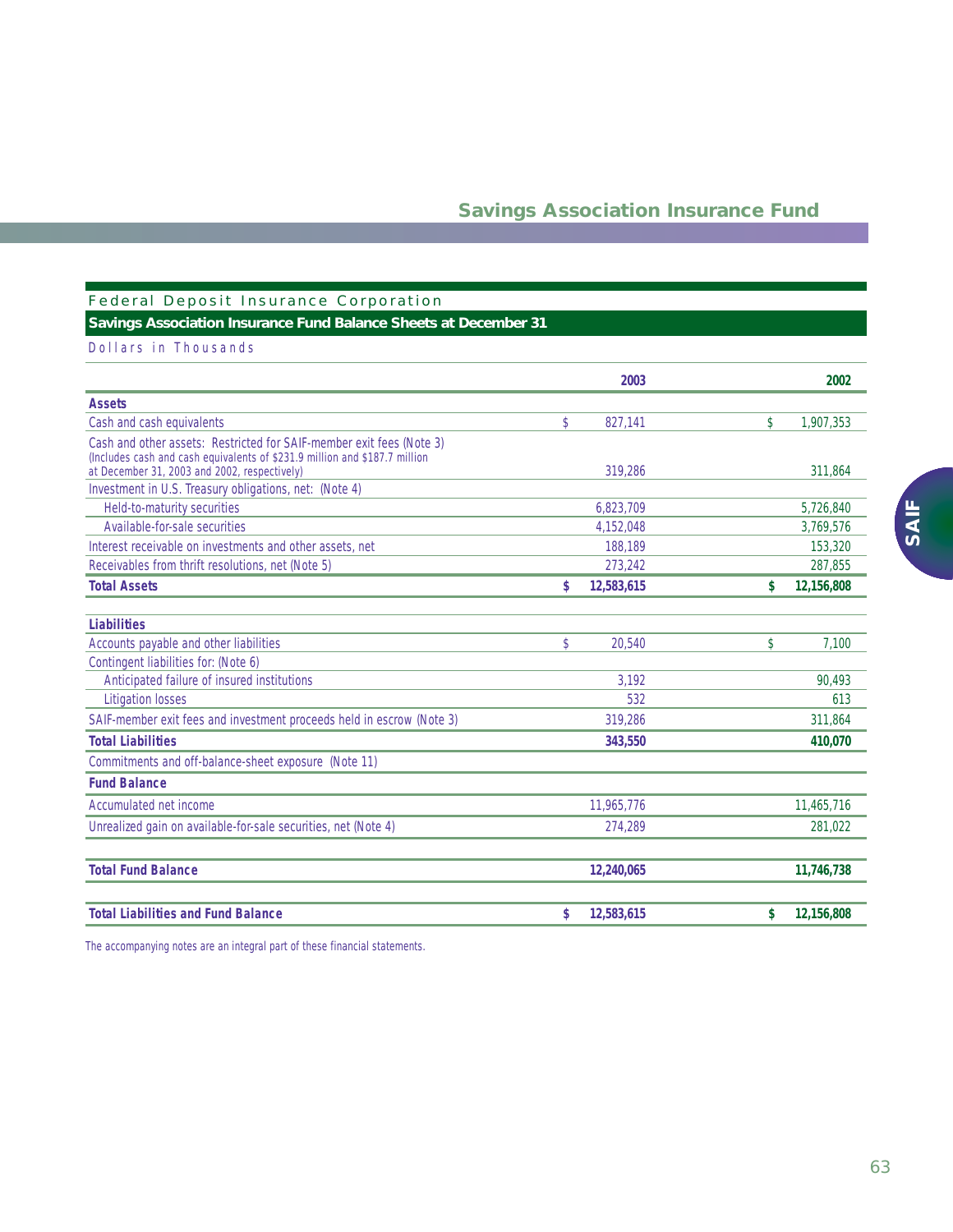### Federal Deposit Insurance Corporation

## **Savings Association Insurance Fund Balance Sheets at December 31**

### Dollars in Thousands

|                                                                                                        |               | 2003       | 2002             |
|--------------------------------------------------------------------------------------------------------|---------------|------------|------------------|
| <b>Assets</b>                                                                                          |               |            |                  |
| Cash and cash equivalents                                                                              | $\mathcal{L}$ | 827,141    | \$<br>1,907,353  |
| Cash and other assets: Restricted for SAIF-member exit fees (Note 3)                                   |               |            |                  |
| (Includes cash and cash equivalents of \$231.9 million and \$187.7 million                             |               | 319.286    | 311,864          |
| at December 31, 2003 and 2002, respectively)<br>Investment in U.S. Treasury obligations, net: (Note 4) |               |            |                  |
| Held-to-maturity securities                                                                            |               | 6,823,709  | 5,726,840        |
| Available-for-sale securities                                                                          |               | 4,152,048  | 3,769,576        |
| Interest receivable on investments and other assets, net                                               |               | 188,189    | 153,320          |
| Receivables from thrift resolutions, net (Note 5)                                                      |               | 273,242    | 287,855          |
| <b>Total Assets</b>                                                                                    | \$            | 12,583,615 | \$<br>12,156,808 |
|                                                                                                        |               |            |                  |
| <b>Liabilities</b>                                                                                     |               |            |                  |
| Accounts payable and other liabilities                                                                 | \$            | 20,540     | \$<br>7.100      |
| Contingent liabilities for: (Note 6)                                                                   |               |            |                  |
| Anticipated failure of insured institutions                                                            |               | 3,192      | 90,493           |
| <b>Litigation losses</b>                                                                               |               | 532        | 613              |
| SAIF-member exit fees and investment proceeds held in escrow (Note 3)                                  |               | 319,286    | 311,864          |
| <b>Total Liabilities</b>                                                                               |               | 343,550    | 410,070          |
| Commitments and off-balance-sheet exposure (Note 11)                                                   |               |            |                  |
| <b>Fund Balance</b>                                                                                    |               |            |                  |
| Accumulated net income                                                                                 |               | 11,965,776 | 11,465,716       |
| Unrealized gain on available-for-sale securities, net (Note 4)                                         |               | 274,289    | 281,022          |
|                                                                                                        |               |            |                  |
| <b>Total Fund Balance</b>                                                                              |               | 12,240,065 | 11,746,738       |
| <b>Total Liabilities and Fund Balance</b>                                                              | \$            | 12,583,615 | \$<br>12,156,808 |

*The accompanying notes are an integral part of these financial statements.*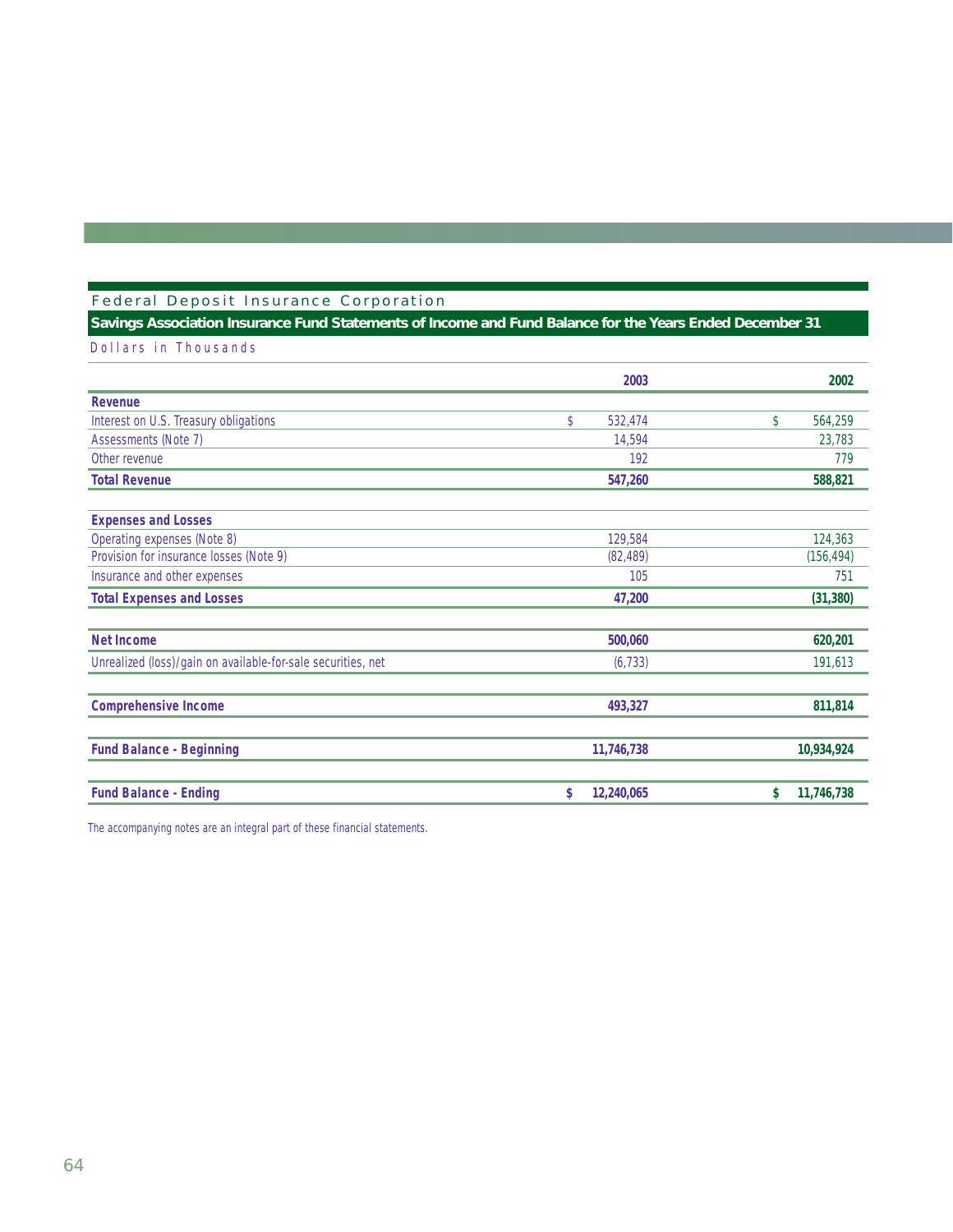## Federal Deposit Insurance Corporation

## **Savings Association Insurance Fund Statements of Income and Fund Balance for the Years Ended December 31**

Dollars in Thousands

|                                                              | 2003             | 2002             |
|--------------------------------------------------------------|------------------|------------------|
| Revenue                                                      |                  |                  |
| Interest on U.S. Treasury obligations                        | \$<br>532,474    | \$<br>564,259    |
| Assessments (Note 7)                                         | 14,594           | 23,783           |
| Other revenue                                                | 192              | 779              |
| <b>Total Revenue</b>                                         | 547,260          | 588,821          |
| <b>Expenses and Losses</b>                                   |                  |                  |
| Operating expenses (Note 8)                                  | 129,584          | 124,363          |
| Provision for insurance losses (Note 9)                      | (82, 489)        | (156, 494)       |
| Insurance and other expenses                                 | 105              | 751              |
| <b>Total Expenses and Losses</b>                             | 47,200           | (31, 380)        |
| <b>Net Income</b>                                            | 500,060          | 620,201          |
| Unrealized (loss)/gain on available-for-sale securities, net | (6, 733)         | 191,613          |
| <b>Comprehensive Income</b>                                  | 493,327          | 811,814          |
| <b>Fund Balance - Beginning</b>                              | 11,746,738       | 10,934,924       |
| <b>Fund Balance - Ending</b>                                 | \$<br>12,240,065 | \$<br>11,746,738 |

*The accompanying notes are an integral part of these financial statements.*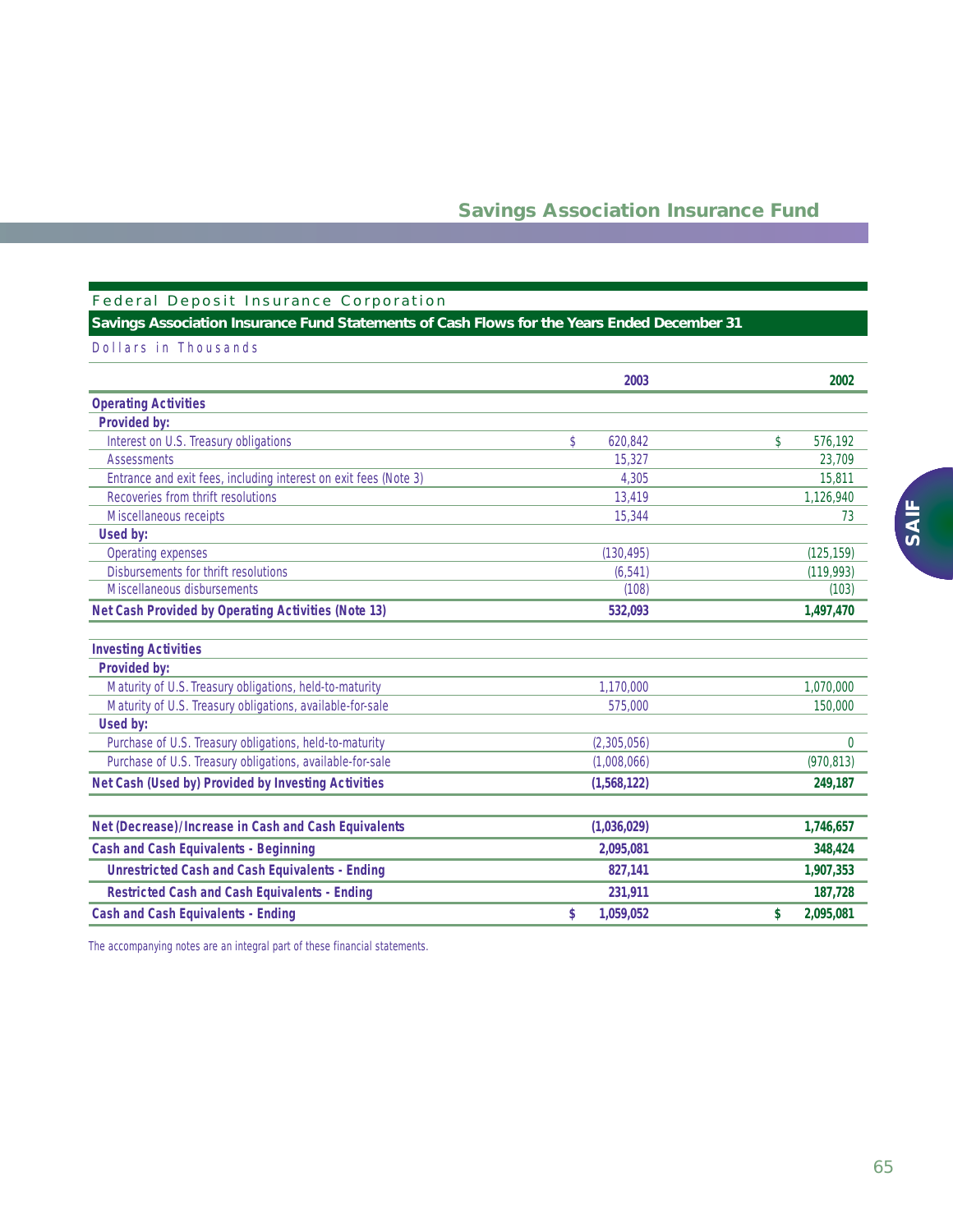### Federal Deposit Insurance Corporation

## **Savings Association Insurance Fund Statements of Cash Flows for the Years Ended December 31**

| Dollars in Thousands |  |  |  |
|----------------------|--|--|--|
|                      |  |  |  |

|                                                                  | 2003            | 2002            |
|------------------------------------------------------------------|-----------------|-----------------|
| <b>Operating Activities</b>                                      |                 |                 |
| Provided by:                                                     |                 |                 |
| Interest on U.S. Treasury obligations                            | \$<br>620,842   | \$<br>576,192   |
| <b>Assessments</b>                                               | 15.327          | 23,709          |
| Entrance and exit fees, including interest on exit fees (Note 3) | 4.305           | 15,811          |
| Recoveries from thrift resolutions                               | 13.419          | 1,126,940       |
| Miscellaneous receipts                                           | 15,344          | 73              |
| Used by:                                                         |                 |                 |
| Operating expenses                                               | (130, 495)      | (125, 159)      |
| Disbursements for thrift resolutions                             | (6.541)         | (119,993)       |
| Miscellaneous disbursements                                      | (108)           | (103)           |
| Net Cash Provided by Operating Activities (Note 13)              | 532,093         | 1,497,470       |
| <b>Investing Activities</b>                                      |                 |                 |
| <b>Provided by:</b>                                              |                 |                 |
| Maturity of U.S. Treasury obligations, held-to-maturity          | 1,170,000       | 1,070,000       |
| Maturity of U.S. Treasury obligations, available-for-sale        | 575,000         | 150,000         |
| Used by:                                                         |                 |                 |
| Purchase of U.S. Treasury obligations, held-to-maturity          | (2,305,056)     | $\theta$        |
| Purchase of U.S. Treasury obligations, available-for-sale        | (1,008,066)     | (970, 813)      |
| Net Cash (Used by) Provided by Investing Activities              | (1,568,122)     | 249,187         |
|                                                                  |                 |                 |
| Net (Decrease)/Increase in Cash and Cash Equivalents             | (1,036,029)     | 1,746,657       |
| <b>Cash and Cash Equivalents - Beginning</b>                     | 2,095,081       | 348,424         |
| <b>Unrestricted Cash and Cash Equivalents - Ending</b>           | 827,141         | 1,907,353       |
| <b>Restricted Cash and Cash Equivalents - Ending</b>             | 231,911         | 187,728         |
| <b>Cash and Cash Equivalents - Ending</b>                        | \$<br>1,059,052 | \$<br>2,095,081 |

*The accompanying notes are an integral part of these financial statements.*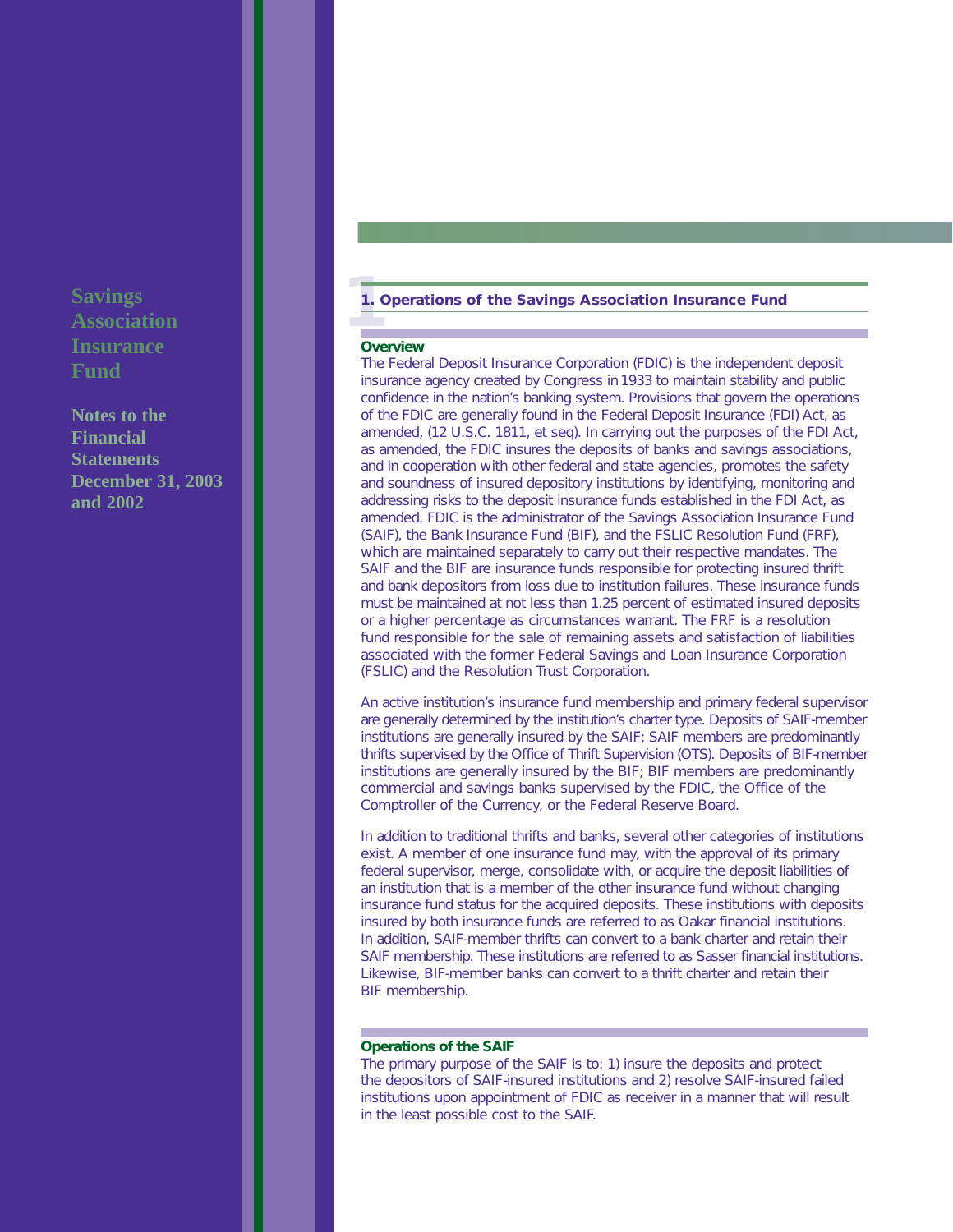**Notes to the Financial Statements December 31, 2003 and 2002**

# **1 1. Operations of the Savings Association Insurance Fund**

#### **Overview**

The Federal Deposit Insurance Corporation (FDIC) is the independent deposit insurance agency created by Congress in 1933 to maintain stability and public confidence in the nation's banking system. Provisions that govern the operations of the FDIC are generally found in the Federal Deposit Insurance (FDI) Act, as amended, (12 U.S.C. 1811, *et seq*). In carrying out the purposes of the FDI Act, as amended, the FDIC insures the deposits of banks and savings associations, and in cooperation with other federal and state agencies, promotes the safety and soundness of insured depository institutions by identifying, monitoring and addressing risks to the deposit insurance funds established in the FDI Act, as amended. FDIC is the administrator of the Savings Association Insurance Fund (SAIF), the Bank Insurance Fund (BIF), and the FSLIC Resolution Fund (FRF), which are maintained separately to carry out their respective mandates. The SAIF and the BIF are insurance funds responsible for protecting insured thrift and bank depositors from loss due to institution failures. These insurance funds must be maintained at not less than 1.25 percent of estimated insured deposits or a higher percentage as circumstances warrant. The FRF is a resolution fund responsible for the sale of remaining assets and satisfaction of liabilities associated with the former Federal Savings and Loan Insurance Corporation (FSLIC) and the Resolution Trust Corporation.

An active institution's insurance fund membership and primary federal supervisor are generally determined by the institution's charter type. Deposits of SAIF-member institutions are generally insured by the SAIF; SAIF members are predominantly thrifts supervised by the Office of Thrift Supervision (OTS). Deposits of BIF-member institutions are generally insured by the BIF; BIF members are predominantly commercial and savings banks supervised by the FDIC, the Office of the Comptroller of the Currency, or the Federal Reserve Board.

In addition to traditional thrifts and banks, several other categories of institutions exist. A member of one insurance fund may, with the approval of its primary federal supervisor, merge, consolidate with, or acquire the deposit liabilities of an institution that is a member of the other insurance fund without changing insurance fund status for the acquired deposits. These institutions with deposits insured by both insurance funds are referred to as Oakar financial institutions. In addition, SAIF-member thrifts can convert to a bank charter and retain their SAIF membership. These institutions are referred to as Sasser financial institutions. Likewise, BIF-member banks can convert to a thrift charter and retain their BIF membership.

#### **Operations of the SAIF**

The primary purpose of the SAIF is to: 1) insure the deposits and protect the depositors of SAIF-insured institutions and 2) resolve SAIF-insured failed institutions upon appointment of FDIC as receiver in a manner that will result in the least possible cost to the SAIF.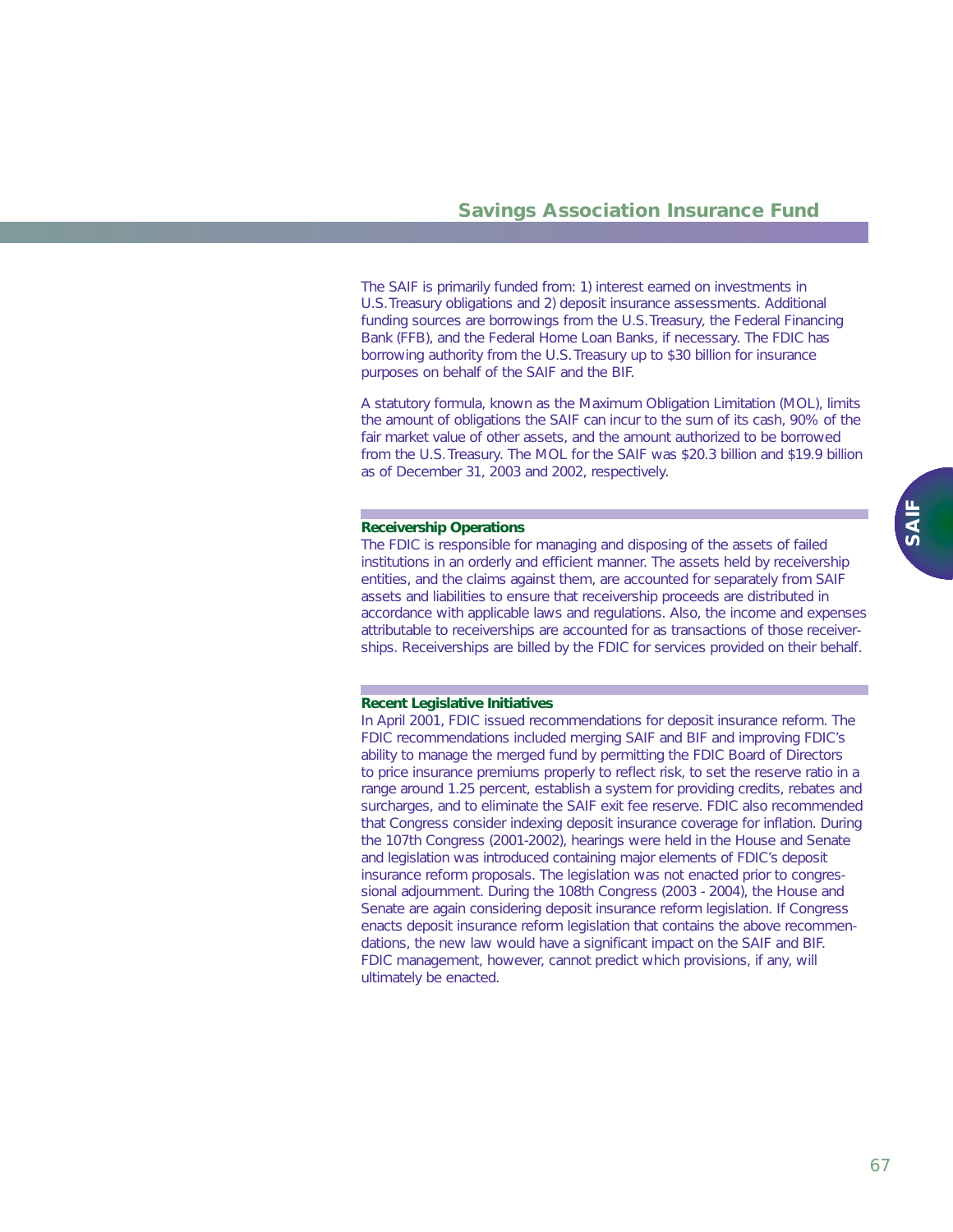The SAIF is primarily funded from: 1) interest earned on investments in U.S.Treasury obligations and 2) deposit insurance assessments. Additional funding sources are borrowings from the U.S.Treasury, the Federal Financing Bank (FFB), and the Federal Home Loan Banks, if necessary. The FDIC has borrowing authority from the U.S.Treasury up to \$30 billion for insurance purposes on behalf of the SAIF and the BIF.

A statutory formula, known as the Maximum Obligation Limitation (MOL), limits the amount of obligations the SAIF can incur to the sum of its cash, 90% of the fair market value of other assets, and the amount authorized to be borrowed from the U.S.Treasury. The MOL for the SAIF was \$20.3 billion and \$19.9 billion as of December 31, 2003 and 2002, respectively.

#### **Receivership Operations**

The FDIC is responsible for managing and disposing of the assets of failed institutions in an orderly and efficient manner. The assets held by receivership entities, and the claims against them, are accounted for separately from SAIF assets and liabilities to ensure that receivership proceeds are distributed in accordance with applicable laws and regulations. Also, the income and expenses attributable to receiverships are accounted for as transactions of those receiverships. Receiverships are billed by the FDIC for services provided on their behalf.

#### **Recent Legislative Initiatives**

In April 2001, FDIC issued recommendations for deposit insurance reform. The FDIC recommendations included merging SAIF and BIF and improving FDIC's ability to manage the merged fund by permitting the FDIC Board of Directors to price insurance premiums properly to reflect risk, to set the reserve ratio in a *range* around 1.25 percent, establish a system for providing credits, rebates and surcharges, and to eliminate the SAIF exit fee reserve. FDIC also recommended that Congress consider indexing deposit insurance coverage for inflation. During the 107th Congress (2001-2002), hearings were held in the House and Senate and legislation was introduced containing major elements of FDIC's deposit insurance reform proposals. The legislation was not enacted prior to congressional adjournment. During the 108th Congress (2003 - 2004), the House and Senate are again considering deposit insurance reform legislation. If Congress enacts deposit insurance reform legislation that contains the above recommendations, the new law would have a significant impact on the SAIF and BIF. FDIC management, however, cannot predict which provisions, if any, will ultimately be enacted.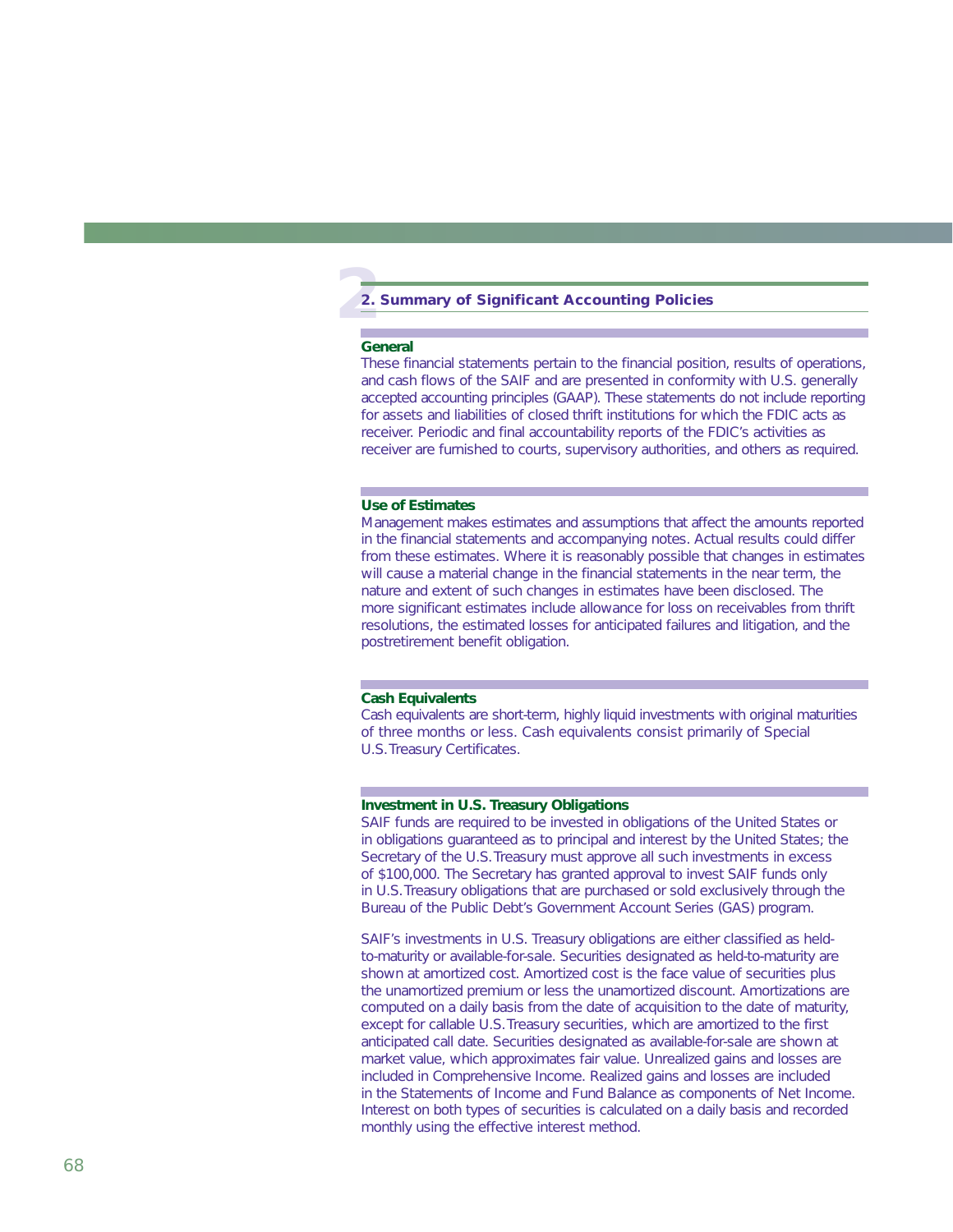# **2 2. Summary of Significant Accounting Policies**

#### **General**

These financial statements pertain to the financial position, results of operations, and cash flows of the SAIF and are presented in conformity with U.S. generally accepted accounting principles (GAAP). These statements do not include reporting for assets and liabilities of closed thrift institutions for which the FDIC acts as receiver. Periodic and final accountability reports of the FDIC's activities as receiver are furnished to courts, supervisory authorities, and others as required.

#### **Use of Estimates**

Management makes estimates and assumptions that affect the amounts reported in the financial statements and accompanying notes. Actual results could differ from these estimates. Where it is reasonably possible that changes in estimates will cause a material change in the financial statements in the near term, the nature and extent of such changes in estimates have been disclosed. The more significant estimates include allowance for loss on receivables from thrift resolutions, the estimated losses for anticipated failures and litigation, and the postretirement benefit obligation.

#### **Cash Equivalents**

Cash equivalents are short-term, highly liquid investments with original maturities of three months or less. Cash equivalents consist primarily of Special U.S.Treasury Certificates.

#### **Investment in U.S. Treasury Obligations**

SAIF funds are required to be invested in obligations of the United States or in obligations guaranteed as to principal and interest by the United States; the Secretary of the U.S. Treasury must approve all such investments in excess of \$100,000. The Secretary has granted approval to invest SAIF funds only in U.S.Treasury obligations that are purchased or sold exclusively through the Bureau of the Public Debt's Government Account Series (GAS) program.

SAIF's investments in U.S. Treasury obligations are either classified as heldto-maturity or available-for-sale. Securities designated as held-to-maturity are shown at amortized cost. Amortized cost is the face value of securities plus the unamortized premium or less the unamortized discount. Amortizations are computed on a daily basis from the date of acquisition to the date of maturity, except for callable U.S.Treasury securities, which are amortized to the first anticipated call date. Securities designated as available-for-sale are shown at market value, which approximates fair value. Unrealized gains and losses are included in Comprehensive Income. Realized gains and losses are included in the Statements of Income and Fund Balance as components of Net Income. Interest on both types of securities is calculated on a daily basis and recorded monthly using the effective interest method.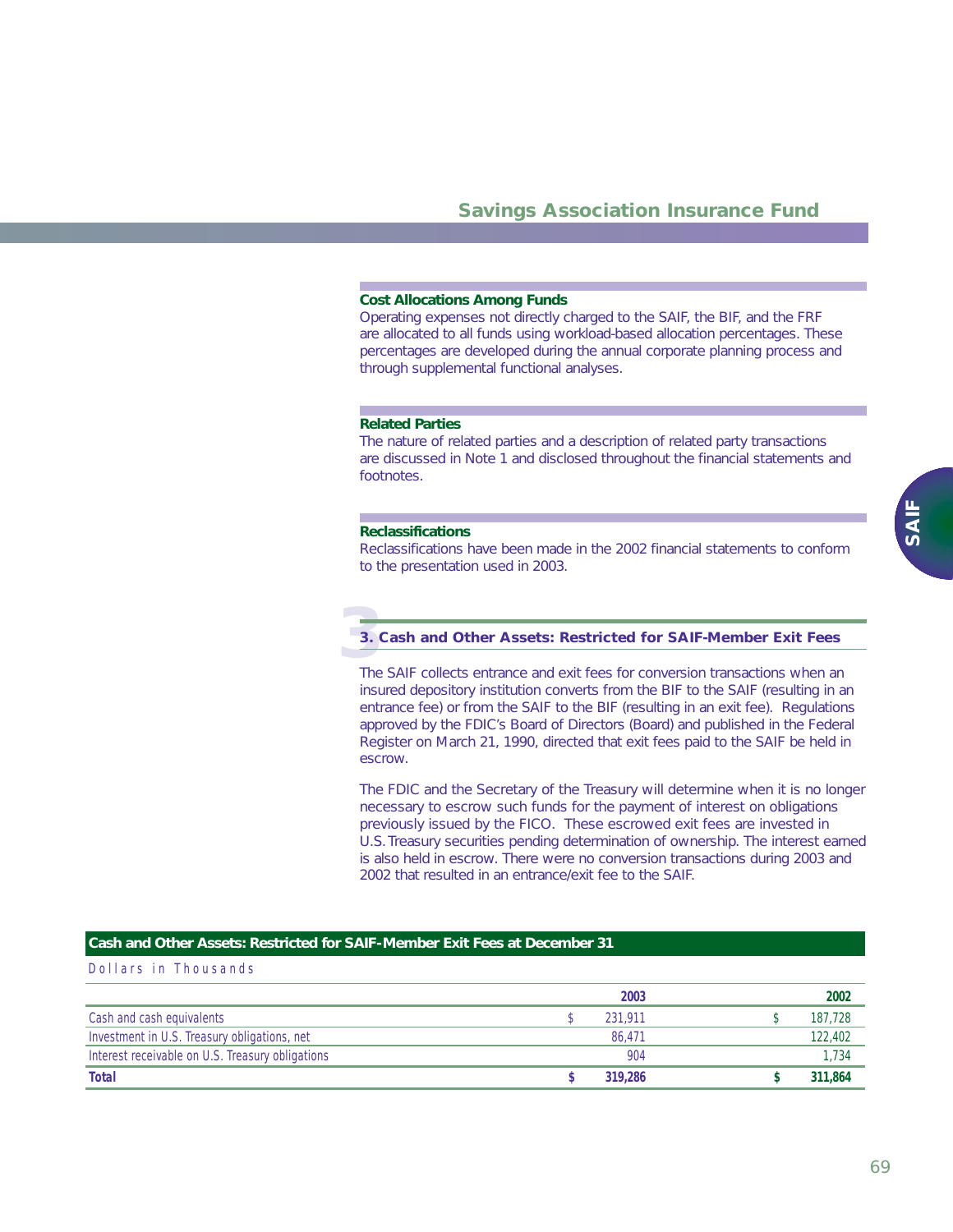#### **Cost Allocations Among Funds**

Operating expenses not directly charged to the SAIF, the BIF, and the FRF are allocated to all funds using workload-based allocation percentages. These percentages are developed during the annual corporate planning process and through supplemental functional analyses.

#### **Related Parties**

The nature of related parties and a description of related party transactions are discussed in Note 1 and disclosed throughout the financial statements and footnotes.

#### **Reclassifications**

Reclassifications have been made in the 2002 financial statements to conform to the presentation used in 2003.

# **3 3. Cash and Other Assets: Restricted for SAIF-Member Exit Fees**

The SAIF collects entrance and exit fees for conversion transactions when an insured depository institution converts from the BIF to the SAIF (resulting in an entrance fee) or from the SAIF to the BIF (resulting in an exit fee). Regulations approved by the FDIC's Board of Directors (Board) and published in the *Federal Register* on March 21, 1990, directed that exit fees paid to the SAIF be held in escrow.

The FDIC and the Secretary of the Treasury will determine when it is no longer necessary to escrow such funds for the payment of interest on obligations previously issued by the FICO. These escrowed exit fees are invested in U.S.Treasury securities pending determination of ownership. The interest earned is also held in escrow. There were no conversion transactions during 2003 and 2002 that resulted in an entrance/exit fee to the SAIF.

#### **Cash and Other Assets: Restricted for SAIF-Member Exit Fees at December 31**

|                                                  | 2003    | 2002    |
|--------------------------------------------------|---------|---------|
| Cash and cash equivalents                        | 231.911 | 187,728 |
| Investment in U.S. Treasury obligations, net     | 86.471  | 122,402 |
| Interest receivable on U.S. Treasury obligations | 904     | 1.734   |
| Total                                            | 319,286 | 311,864 |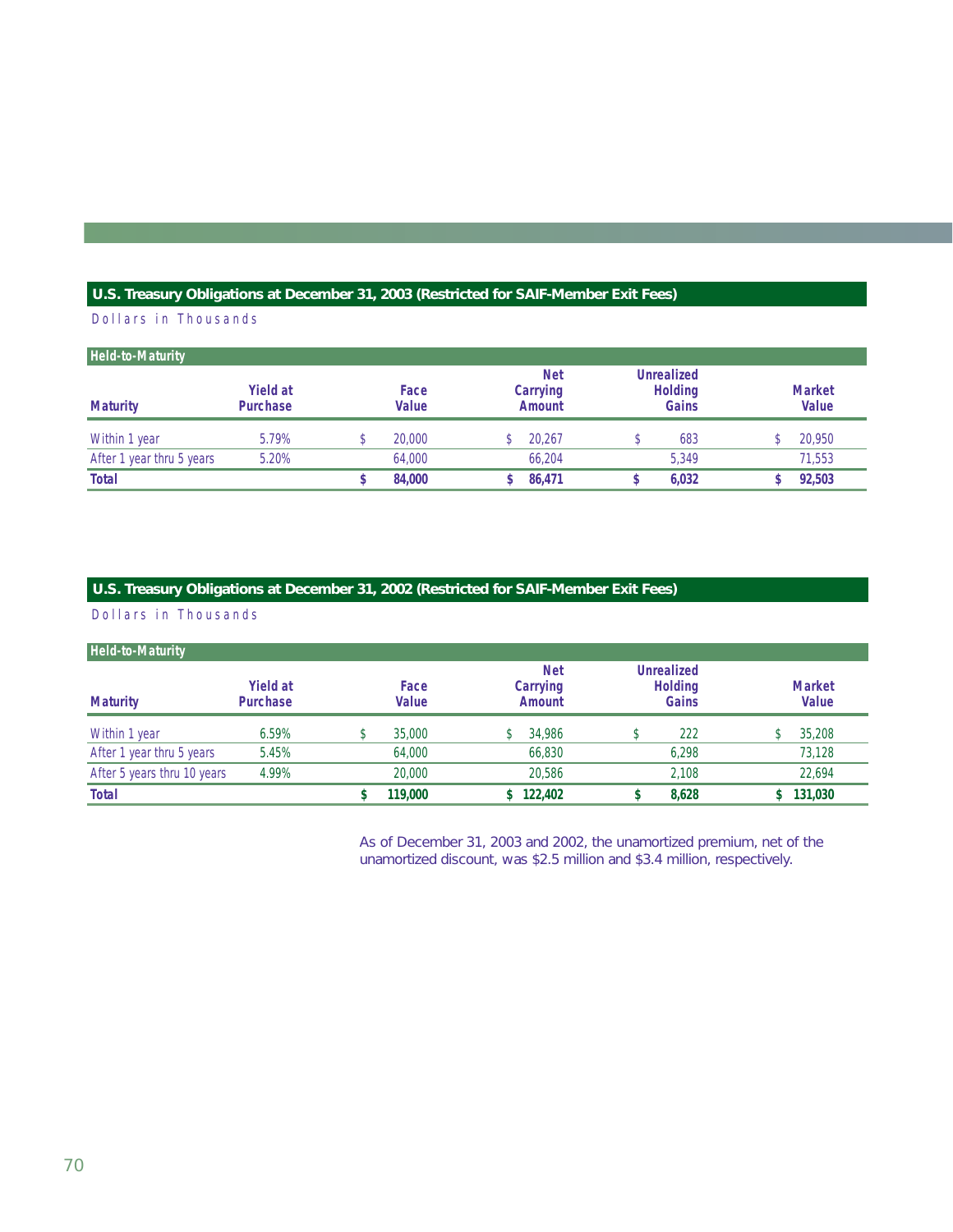## **U.S. Treasury Obligations at December 31, 2003 (Restricted for SAIF-Member Exit Fees)**

## Dollars in Thousands

| <b>Held-to-Maturity</b>   |                                    |                      |                                         |                                              |                        |
|---------------------------|------------------------------------|----------------------|-----------------------------------------|----------------------------------------------|------------------------|
| <b>Maturity</b>           | <b>Yield at</b><br><b>Purchase</b> | Face<br><b>Value</b> | <b>Net</b><br>Carrying<br><b>Amount</b> | <b>Unrealized</b><br><b>Holding</b><br>Gains | <b>Market</b><br>Value |
| Within 1 year             | 5.79%                              | 20,000               | 20.267                                  | 683                                          | 20,950                 |
| After 1 year thru 5 years | 5.20%                              | 64,000               | 66.204                                  | 5.349                                        | 71,553                 |
| <b>Total</b>              |                                    | 84,000               | 86.471                                  | 6,032                                        | 92,503                 |

### **U.S. Treasury Obligations at December 31, 2002 (Restricted for SAIF-Member Exit Fees)**

Dollars in Thousands

| <b>Held-to-Maturity</b>     |                                    |                      |                                         |                                              |                        |
|-----------------------------|------------------------------------|----------------------|-----------------------------------------|----------------------------------------------|------------------------|
| <b>Maturity</b>             | <b>Yield at</b><br><b>Purchase</b> | Face<br><b>Value</b> | <b>Net</b><br>Carrying<br><b>Amount</b> | <b>Unrealized</b><br><b>Holding</b><br>Gains | <b>Market</b><br>Value |
| Within 1 year               | 6.59%                              | 35,000               | 34.986                                  | 222                                          | 35,208                 |
| After 1 year thru 5 years   | 5.45%                              | 64,000               | 66,830                                  | 6.298                                        | 73,128                 |
| After 5 years thru 10 years | 4.99%                              | 20,000               | 20,586                                  | 2.108                                        | 22,694                 |
| <b>Total</b>                |                                    | 119,000              | 122,402                                 | 8,628                                        | 131,030                |

As of December 31, 2003 and 2002, the unamortized premium, net of the unamortized discount, was \$2.5 million and \$3.4 million, respectively.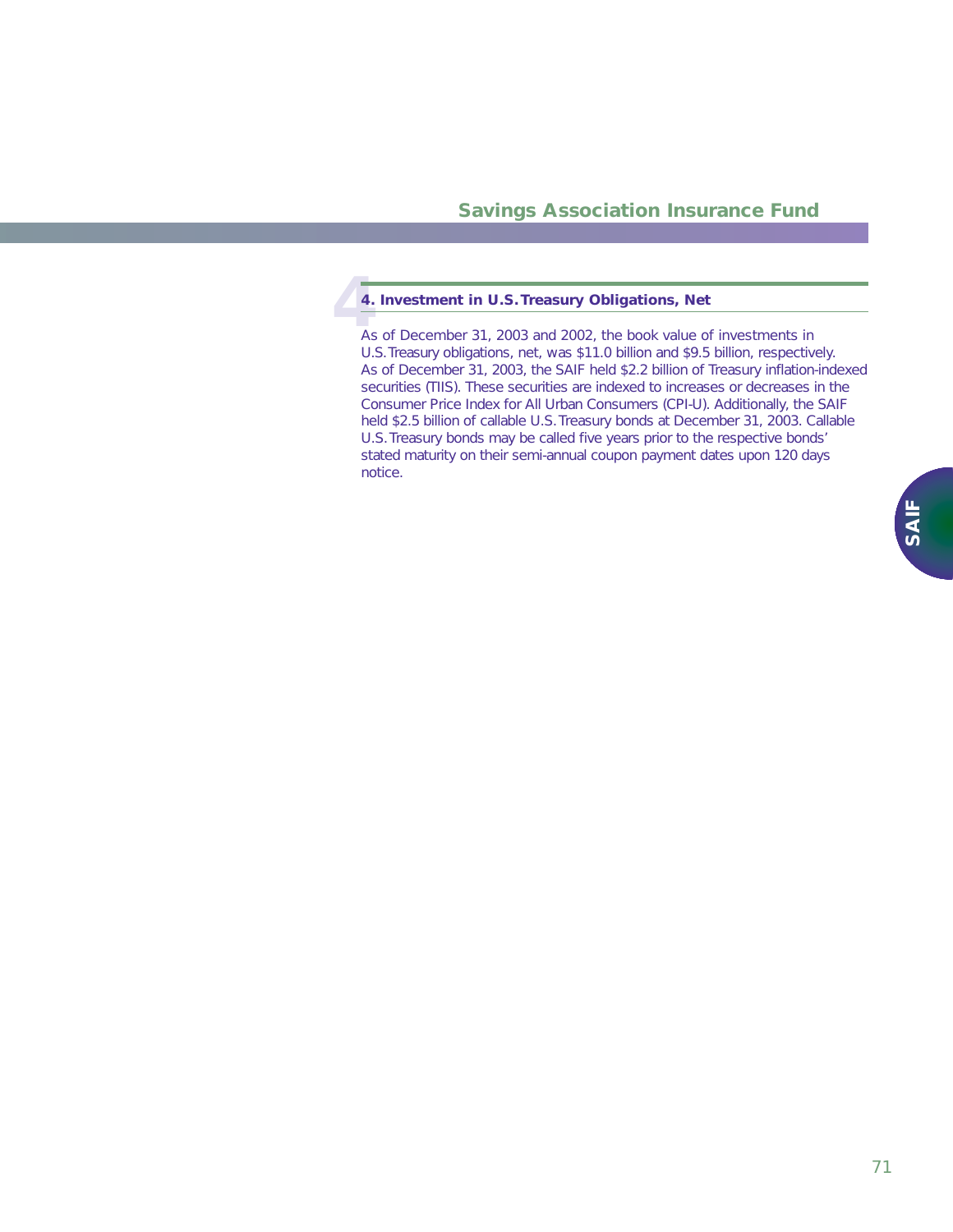# <sup>4</sup><br>4<br>As **4. Investment in U.S.Treasury Obligations, Net**

As of December 31, 2003 and 2002, the book value of investments in U.S.Treasury obligations, net, was \$11.0 billion and \$9.5 billion, respectively. As of December 31, 2003, the SAIF held \$2.2 billion of Treasury inflation-indexed securities (TIIS). These securities are indexed to increases or decreases in the Consumer Price Index for All Urban Consumers (CPI-U). Additionally, the SAIF held \$2.5 billion of callable U.S.Treasury bonds at December 31, 2003. Callable U.S.Treasury bonds may be called five years prior to the respective bonds' stated maturity on their semi-annual coupon payment dates upon 120 days notice.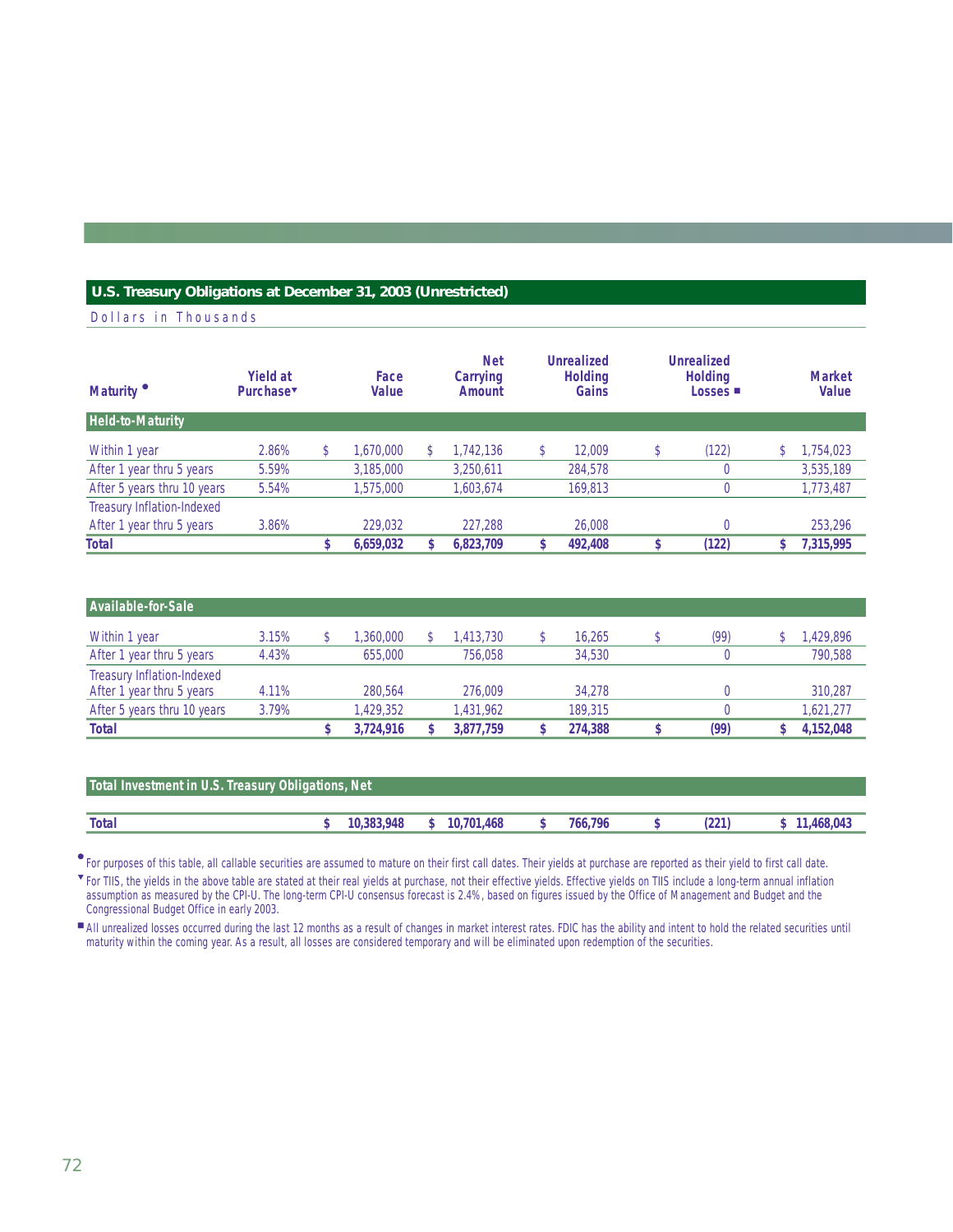#### **U.S. Treasury Obligations at December 31, 2003 (Unrestricted)**

Dollars in Thousands

| Maturity                    | <b>Yield at</b><br>Purchase | Face<br>Value   | <b>Net</b><br>Carrying<br>Amount | <b>Unrealized</b><br><b>Holding</b><br>Gains |   | <b>Unrealized</b><br><b>Holding</b><br>Losses $\blacksquare$ |   | <b>Market</b><br>Value |
|-----------------------------|-----------------------------|-----------------|----------------------------------|----------------------------------------------|---|--------------------------------------------------------------|---|------------------------|
| <b>Held-to-Maturity</b>     |                             |                 |                                  |                                              |   |                                                              |   |                        |
| Within 1 year               | 2.86%                       | \$<br>1.670.000 | \$<br>1.742.136                  | 12,009                                       | D | (122)                                                        |   | 1,754,023              |
| After 1 year thru 5 years   | 5.59%                       | 3,185,000       | 3,250,611                        | 284,578                                      |   |                                                              |   | 3,535,189              |
| After 5 years thru 10 years | 5.54%                       | 1,575,000       | 1,603,674                        | 169.813                                      |   |                                                              |   | 1,773,487              |
| Treasury Inflation-Indexed  |                             |                 |                                  |                                              |   |                                                              |   |                        |
| After 1 year thru 5 years   | 3.86%                       | 229.032         | 227.288                          | 26,008                                       |   |                                                              |   | 253,296                |
| <b>Total</b>                |                             | 6,659,032       | 6,823,709                        | 492,408                                      |   | (122)                                                        | c | 7,315,995              |

| Available-for-Sale          |       |           |           |         |      |           |
|-----------------------------|-------|-----------|-----------|---------|------|-----------|
| Within 1 year               | 3.15% | .360.000  | .413.730  | 16.265  | (99) | 1,429,896 |
| After 1 year thru 5 years   | 4.43% | 655,000   | 756.058   | 34,530  |      | 790.588   |
| Treasury Inflation-Indexed  |       |           |           |         |      |           |
| After 1 year thru 5 years   | 4.11% | 280,564   | 276,009   | 34.278  |      | 310,287   |
| After 5 years thru 10 years | 3.79% | 1.429.352 | 1.431.962 | 189.315 |      | 1.621.277 |
| <b>Total</b>                |       | 3.724.916 | 3.877.759 | 274.388 | (99) | 4,152,048 |

| Total Investment in U.S. Treasury Obligations, Net |  |            |  |              |  |         |  |     |            |  |  |
|----------------------------------------------------|--|------------|--|--------------|--|---------|--|-----|------------|--|--|
|                                                    |  |            |  |              |  |         |  |     |            |  |  |
| <b>Total</b>                                       |  | 10,383,948 |  | \$10,701,468 |  | 766.796 |  | 221 | 11.468.043 |  |  |

For purposes of this table, all callable securities are assumed to mature on their first call dates. Their yields at purchase are reported as their yield to first call date. ●

For TIIS, the yields in the above table are stated at their real yields at purchase, not their effective yields. Effective yields on TIIS include a long-term annual inflation assumption as measured by the CPI-U. The long-term CPI-U consensus forecast is 2.4%, based on figures issued by the Office of Management and Budget and the Congressional Budget Office in early 2003. ▼

All unrealized losses occurred during the last 12 months as a result of changes in market interest rates. FDIC has the ability and intent to hold the related securities until maturity within the coming year. As a result, all losses are considered temporary and will be eliminated upon redemption of the securities. ■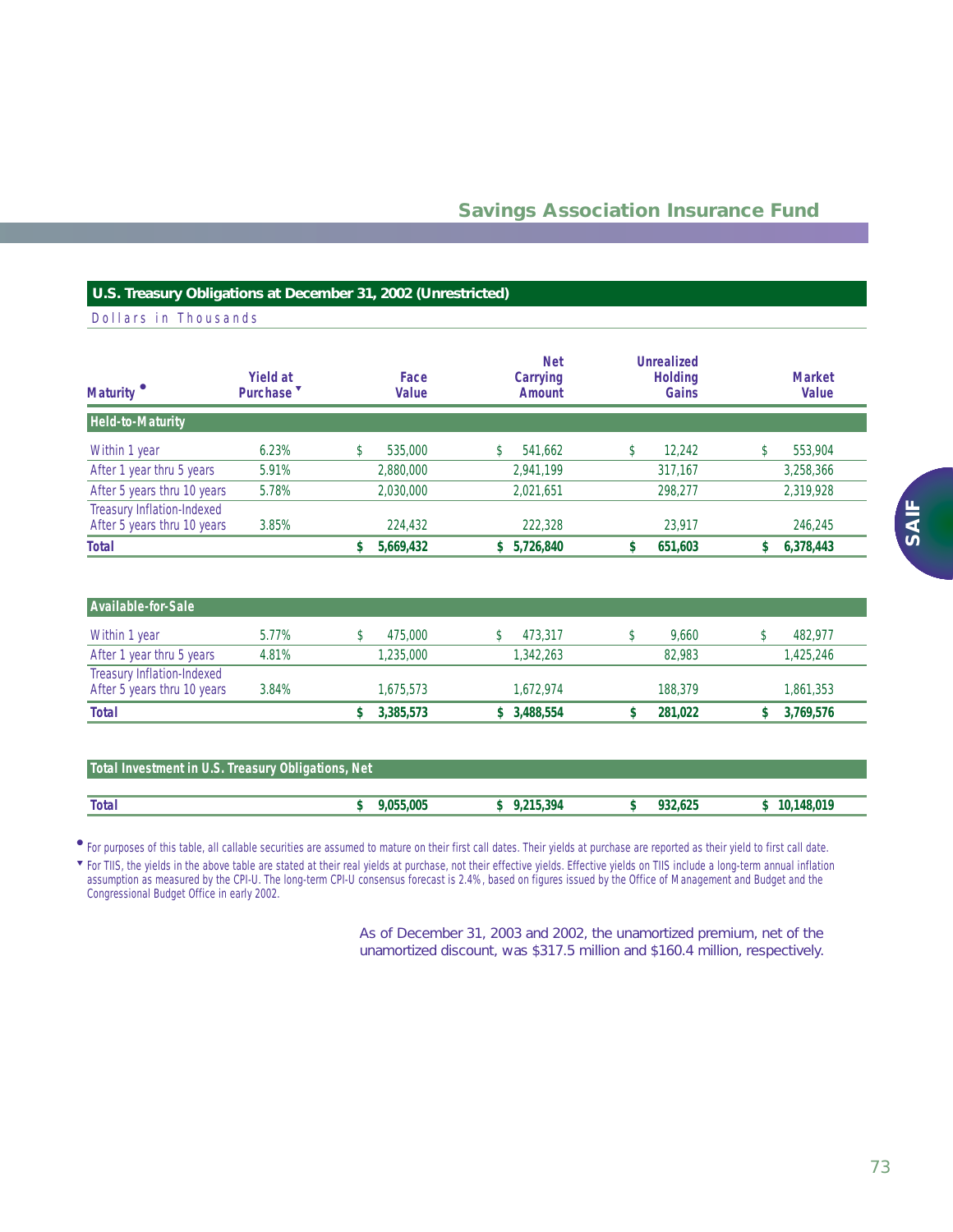#### **U.S. Treasury Obligations at December 31, 2002 (Unrestricted)**

Dollars in Thousands

| Maturity <sup>®</sup>                                     | <b>Yield at</b><br>Purchase <sup>v</sup> | Face<br>Value | <b>Net</b><br>Carrying<br><b>Amount</b> | <b>Unrealized</b><br><b>Holding</b><br>Gains | <b>Market</b><br>Value |
|-----------------------------------------------------------|------------------------------------------|---------------|-----------------------------------------|----------------------------------------------|------------------------|
| <b>Held-to-Maturity</b>                                   |                                          |               |                                         |                                              |                        |
| Within 1 year                                             | 6.23%                                    | 535,000       | 541,662                                 | 12.242                                       | 553,904                |
| After 1 year thru 5 years                                 | 5.91%                                    | 2,880,000     | 2,941,199                               | 317,167                                      | 3,258,366              |
| After 5 years thru 10 years                               | 5.78%                                    | 2,030,000     | 2,021,651                               | 298,277                                      | 2,319,928              |
| Treasury Inflation-Indexed<br>After 5 years thru 10 years | 3.85%                                    | 224,432       | 222,328                                 | 23,917                                       | 246,245                |
| <b>Total</b>                                              |                                          | 5,669,432     | 5,726,840<br>S.                         | 651,603                                      | 6,378,443              |
|                                                           |                                          |               |                                         |                                              |                        |

| Available-for-Sale                                        |       |           |           |         |           |
|-----------------------------------------------------------|-------|-----------|-----------|---------|-----------|
| Within 1 year                                             | 5.77% | 475,000   | 473.317   | 9.660   | 482.977   |
| After 1 year thru 5 years                                 | 4.81% | 1.235.000 | 1.342.263 | 82,983  | 1,425,246 |
| Treasury Inflation-Indexed<br>After 5 years thru 10 years | 3.84% | 1.675.573 | 1.672.974 | 188.379 | 1,861,353 |
| <b>Total</b>                                              |       | 3,385,573 | 3,488,554 | 281.022 | 3,769,576 |

| Total Investment in U.S. Treasury Obligations, Net |           |           |         |              |  |  |  |
|----------------------------------------------------|-----------|-----------|---------|--------------|--|--|--|
|                                                    |           |           |         |              |  |  |  |
| <b>Total</b>                                       | 9.055.005 | 9.215.394 | 932.625 | \$10.148.019 |  |  |  |

For purposes of this table, all callable securities are assumed to mature on their first call dates. Their yields at purchase are reported as their yield to first call date. ●

For TIIS, the yields in the above table are stated at their real yields at purchase, not their effective yields. Effective yields on TIIS include a long-term annual inflation assumption as measured by the CPI-U. The long-term CPI-U consensus forecast is 2.4%, based on figures issued by the Office of Management and Budget and the Congressional Budget Office in early 2002. ▼

> As of December 31, 2003 and 2002, the unamortized premium, net of the unamortized discount, was \$317.5 million and \$160.4 million, respectively.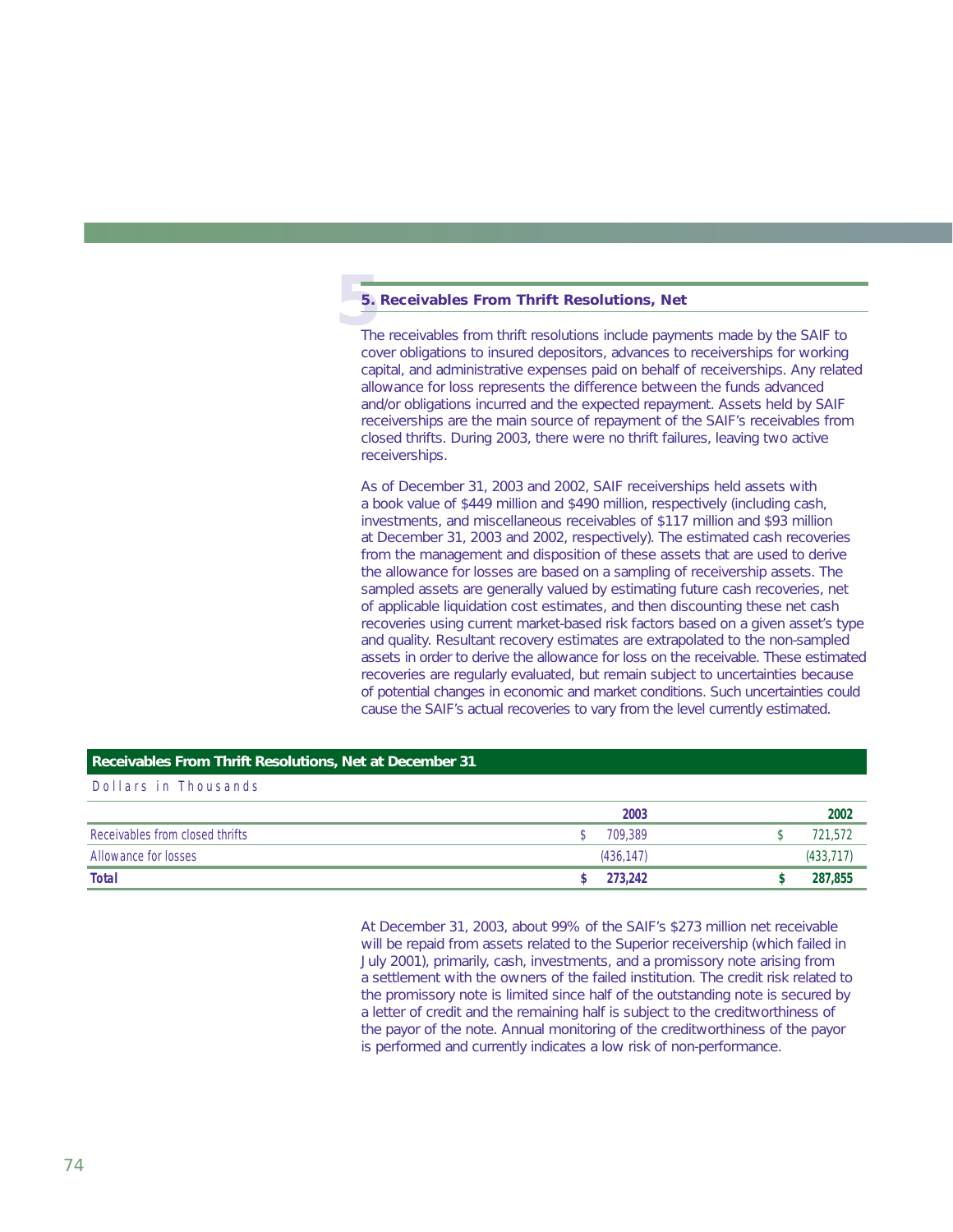# **5**. **5. Receivables From Thrift Resolutions, Net**

The receivables from thrift resolutions include payments made by the SAIF to cover obligations to insured depositors, advances to receiverships for working capital, and administrative expenses paid on behalf of receiverships. Any related allowance for loss represents the difference between the funds advanced and/or obligations incurred and the expected repayment. Assets held by SAIF receiverships are the main source of repayment of the SAIF's receivables from closed thrifts. During 2003, there were no thrift failures, leaving two active receiverships.

As of December 31, 2003 and 2002, SAIF receiverships held assets with a book value of \$449 million and \$490 million, respectively (including cash, investments, and miscellaneous receivables of \$117 million and \$93 million at December 31, 2003 and 2002, respectively). The estimated cash recoveries from the management and disposition of these assets that are used to derive the allowance for losses are based on a sampling of receivership assets. The sampled assets are generally valued by estimating future cash recoveries, net of applicable liquidation cost estimates, and then discounting these net cash recoveries using current market-based risk factors based on a given asset's type and quality. Resultant recovery estimates are extrapolated to the non-sampled assets in order to derive the allowance for loss on the receivable. These estimated recoveries are regularly evaluated, but remain subject to uncertainties because of potential changes in economic and market conditions. Such uncertainties could cause the SAIF's actual recoveries to vary from the level currently estimated.

#### **Receivables From Thrift Resolutions, Net at December 31**

Dollars in Thousands

|                                 | 2003      | 2002      |
|---------------------------------|-----------|-----------|
| Receivables from closed thrifts | 709.389   | 721,572   |
| Allowance for losses            | (436.147) | (433.717) |
| <b>Total</b>                    | 273.242   | 287,855   |

At December 31, 2003, about 99% of the SAIF's \$273 million net receivable will be repaid from assets related to the Superior receivership (which failed in July 2001), primarily, cash, investments, and a promissory note arising from a settlement with the owners of the failed institution. The credit risk related to the promissory note is limited since half of the outstanding note is secured by a letter of credit and the remaining half is subject to the creditworthiness of the payor of the note. Annual monitoring of the creditworthiness of the payor is performed and currently indicates a low risk of non-performance.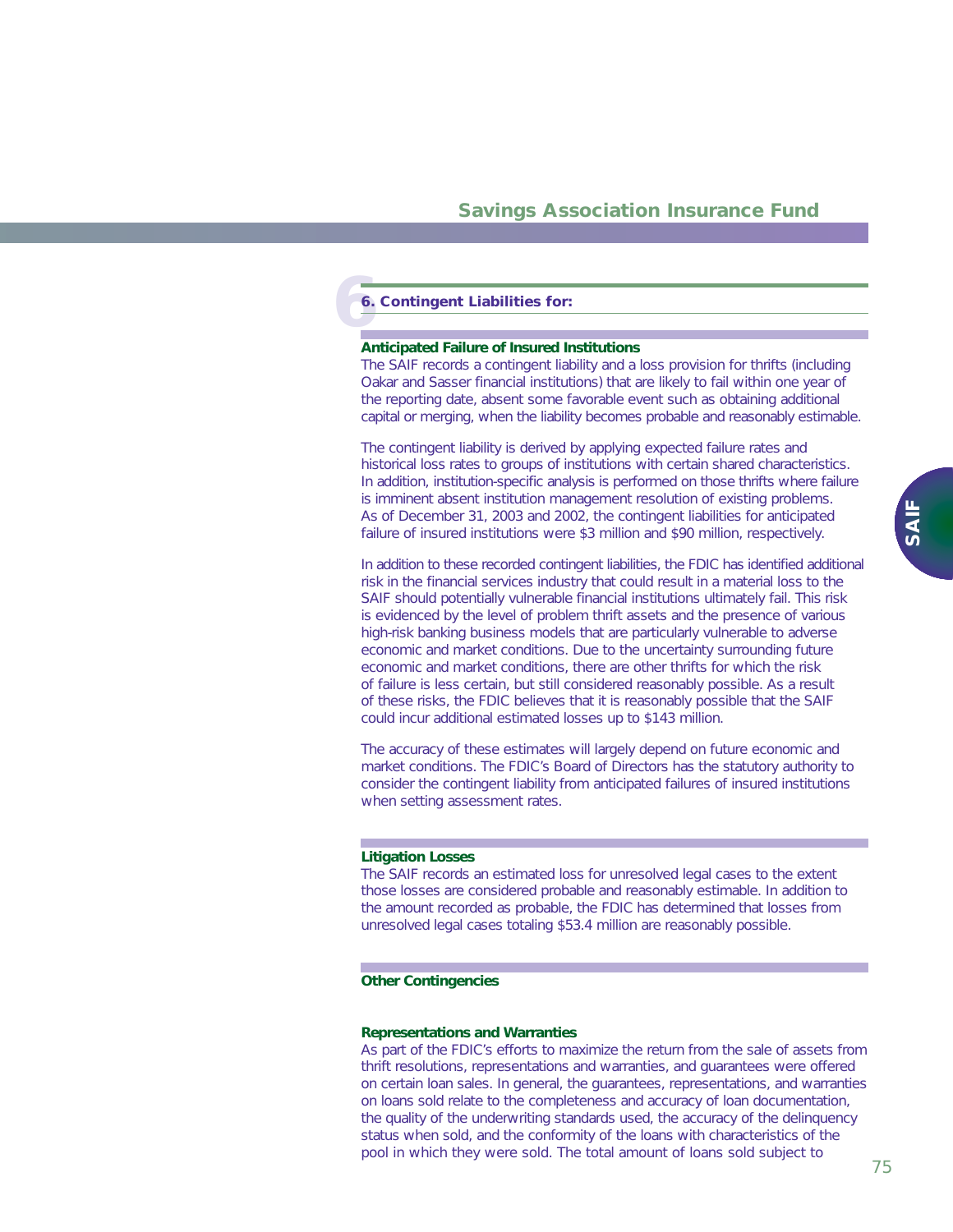# **6 6. Contingent Liabilities for:**

#### **Anticipated Failure of Insured Institutions**

The SAIF records a contingent liability and a loss provision for thrifts (including Oakar and Sasser financial institutions) that are likely to fail within one year of the reporting date, absent some favorable event such as obtaining additional capital or merging, when the liability becomes probable and reasonably estimable.

The contingent liability is derived by applying expected failure rates and historical loss rates to groups of institutions with certain shared characteristics. In addition, institution-specific analysis is performed on those thrifts where failure is imminent absent institution management resolution of existing problems. As of December 31, 2003 and 2002, the contingent liabilities for anticipated failure of insured institutions were \$3 million and \$90 million, respectively.

In addition to these recorded contingent liabilities, the FDIC has identified additional risk in the financial services industry that could result in a material loss to the SAIF should potentially vulnerable financial institutions ultimately fail. This risk is evidenced by the level of problem thrift assets and the presence of various high-risk banking business models that are particularly vulnerable to adverse economic and market conditions. Due to the uncertainty surrounding future economic and market conditions, there are other thrifts for which the risk of failure is less certain, but still considered reasonably possible. As a result of these risks, the FDIC believes that it is reasonably possible that the SAIF could incur additional estimated losses up to \$143 million.

The accuracy of these estimates will largely depend on future economic and market conditions. The FDIC's Board of Directors has the statutory authority to consider the contingent liability from anticipated failures of insured institutions when setting assessment rates.

#### **Litigation Losses**

The SAIF records an estimated loss for unresolved legal cases to the extent those losses are considered probable and reasonably estimable. In addition to the amount recorded as probable, the FDIC has determined that losses from unresolved legal cases totaling \$53.4 million are reasonably possible.

#### **Other Contingencies**

#### *Representations and Warranties*

As part of the FDIC's efforts to maximize the return from the sale of assets from thrift resolutions, representations and warranties, and guarantees were offered on certain loan sales. In general, the guarantees, representations, and warranties on loans sold relate to the completeness and accuracy of loan documentation, the quality of the underwriting standards used, the accuracy of the delinquency status when sold, and the conformity of the loans with characteristics of the pool in which they were sold. The total amount of loans sold subject to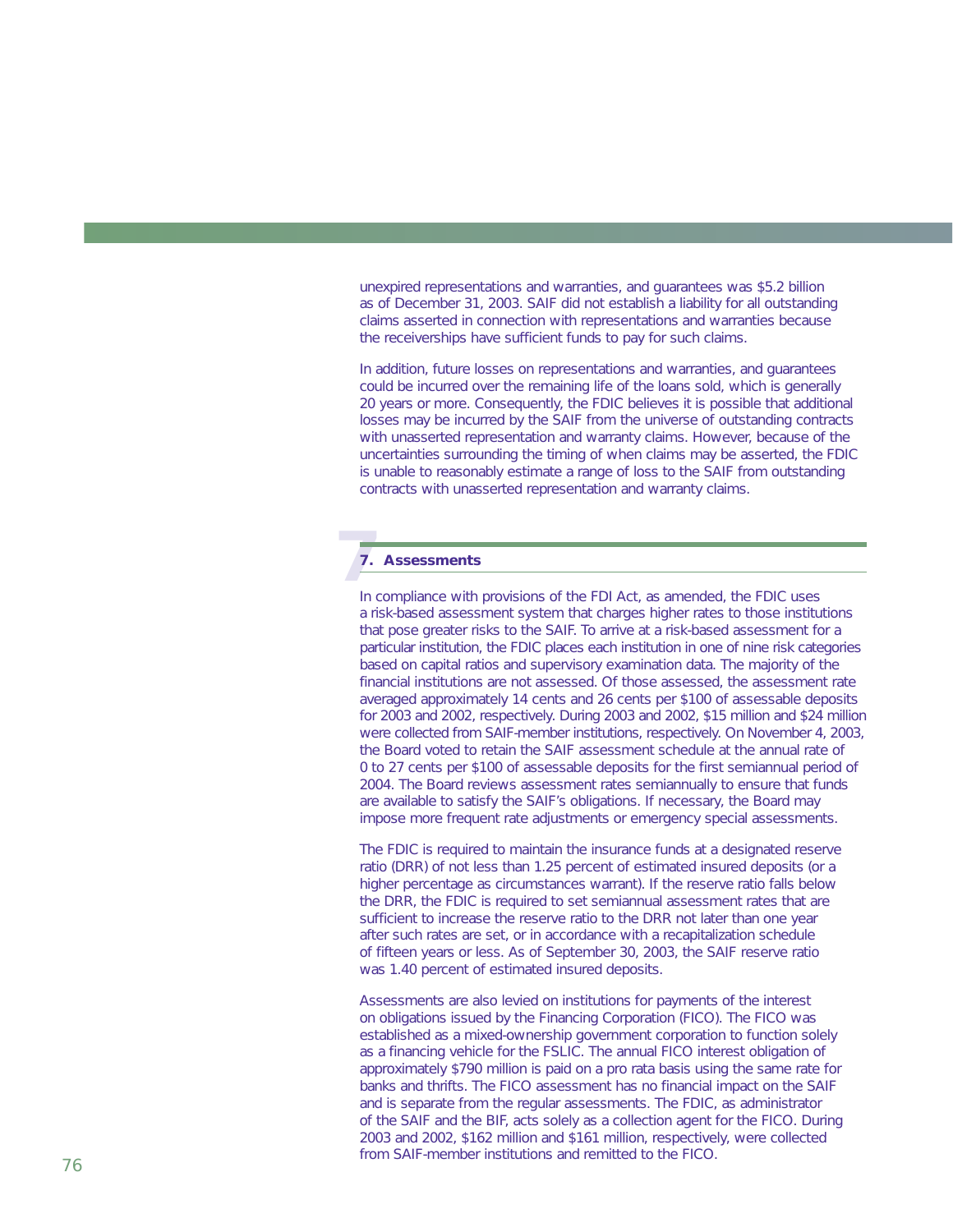unexpired representations and warranties, and guarantees was \$5.2 billion as of December 31, 2003. SAIF did not establish a liability for all outstanding claims asserted in connection with representations and warranties because the receiverships have sufficient funds to pay for such claims.

In addition, future losses on representations and warranties, and guarantees could be incurred over the remaining life of the loans sold, which is generally 20 years or more. Consequently, the FDIC believes it is possible that additional losses may be incurred by the SAIF from the universe of outstanding contracts with unasserted representation and warranty claims. However, because of the uncertainties surrounding the timing of when claims may be asserted, the FDIC is unable to reasonably estimate a range of loss to the SAIF from outstanding contracts with unasserted representation and warranty claims.

# **7 7. Assessments**

In compliance with provisions of the FDI Act, as amended, the FDIC uses a risk-based assessment system that charges higher rates to those institutions that pose greater risks to the SAIF. To arrive at a risk-based assessment for a particular institution, the FDIC places each institution in one of nine risk categories based on capital ratios and supervisory examination data. The majority of the financial institutions are not assessed. Of those assessed, the assessment rate averaged approximately 14 cents and 26 cents per \$100 of assessable deposits for 2003 and 2002, respectively. During 2003 and 2002, \$15 million and \$24 million were collected from SAIF-member institutions, respectively. On November 4, 2003, the Board voted to retain the SAIF assessment schedule at the annual rate of 0 to 27 cents per \$100 of assessable deposits for the first semiannual period of 2004. The Board reviews assessment rates semiannually to ensure that funds are available to satisfy the SAIF's obligations. If necessary, the Board may impose more frequent rate adjustments or emergency special assessments.

The FDIC is required to maintain the insurance funds at a designated reserve ratio (DRR) of not less than 1.25 percent of estimated insured deposits (or a higher percentage as circumstances warrant). If the reserve ratio falls below the DRR, the FDIC is required to set semiannual assessment rates that are sufficient to increase the reserve ratio to the DRR not later than one year after such rates are set, or in accordance with a recapitalization schedule of fifteen years or less. As of September 30, 2003, the SAIF reserve ratio was 1.40 percent of estimated insured deposits.

Assessments are also levied on institutions for payments of the interest on obligations issued by the Financing Corporation (FICO). The FICO was established as a mixed-ownership government corporation to function solely as a financing vehicle for the FSLIC. The annual FICO interest obligation of approximately \$790 million is paid on a pro rata basis using the same rate for banks and thrifts. The FICO assessment has no financial impact on the SAIF and is separate from the regular assessments. The FDIC, as administrator of the SAIF and the BIF, acts solely as a collection agent for the FICO. During 2003 and 2002, \$162 million and \$161 million, respectively, were collected from SAIF-member institutions and remitted to the FICO.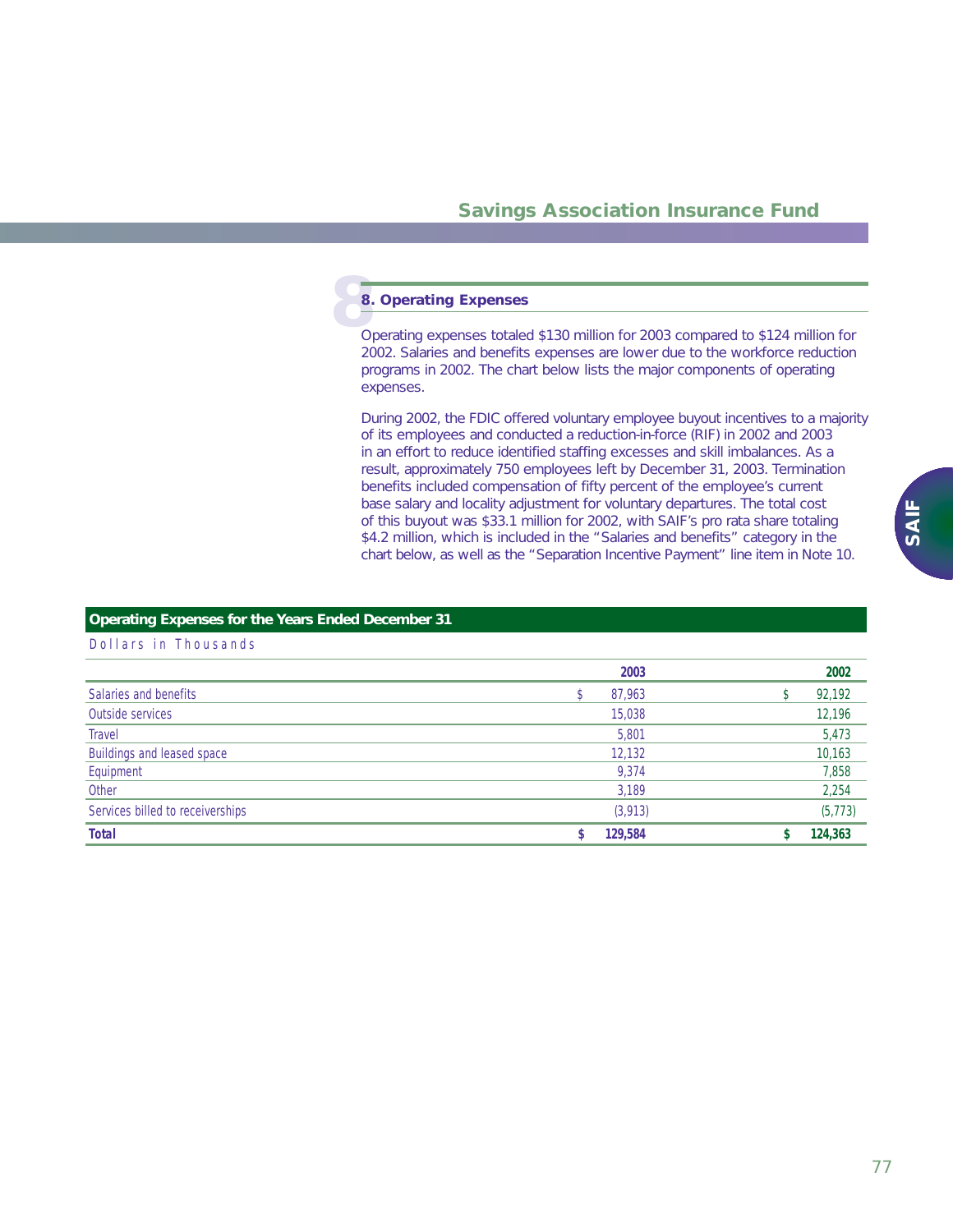# **8.**<br>Op **8. Operating Expenses**

Operating expenses totaled \$130 million for 2003 compared to \$124 million for 2002. Salaries and benefits expenses are lower due to the workforce reduction programs in 2002. The chart below lists the major components of operating expenses.

During 2002, the FDIC offered voluntary employee buyout incentives to a majority of its employees and conducted a reduction-in-force (RIF) in 2002 and 2003 in an effort to reduce identified staffing excesses and skill imbalances. As a result, approximately 750 employees left by December 31, 2003. Termination benefits included compensation of fifty percent of the employee's current base salary and locality adjustment for voluntary departures. The total cost of this buyout was \$33.1 million for 2002, with SAIF's pro rata share totaling \$4.2 million, which is included in the "Salaries and benefits" category in the chart below, as well as the "Separation Incentive Payment" line item in Note 10.

### **Operating Expenses for the Years Ended December 31**

|                                  | 2003     | 2002     |
|----------------------------------|----------|----------|
| Salaries and benefits            | 87,963   | 92,192   |
| Outside services                 | 15,038   | 12,196   |
| Travel                           | 5,801    | 5,473    |
| Buildings and leased space       | 12,132   | 10,163   |
| Equipment                        | 9.374    | 7,858    |
| Other                            | 3,189    | 2,254    |
| Services billed to receiverships | (3, 913) | (5, 773) |
| <b>Total</b>                     | 129,584  | 124,363  |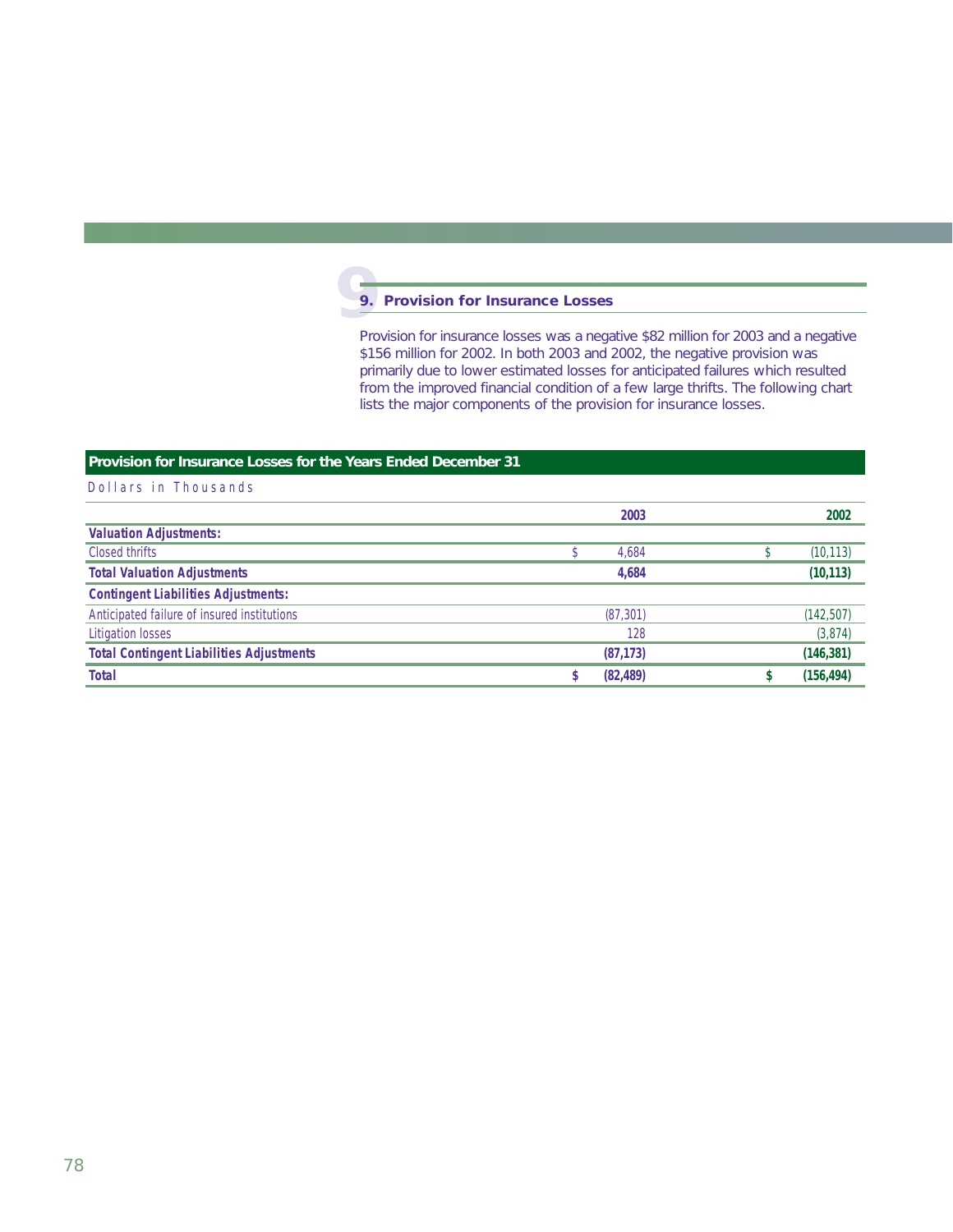#### **99. Provision for Insurance Losses**

Provision for insurance losses was a negative \$82 million for 2003 and a negative \$156 million for 2002. In both 2003 and 2002, the negative provision was primarily due to lower estimated losses for anticipated failures which resulted from the improved financial condition of a few large thrifts. The following chart lists the major components of the provision for insurance losses.

### **Provision for Insurance Losses for the Years Ended December 31**

|                                                 | 2003      | 2002       |
|-------------------------------------------------|-----------|------------|
| <b>Valuation Adjustments:</b>                   |           |            |
| Closed thrifts                                  | 4,684     | (10, 113)  |
| <b>Total Valuation Adjustments</b>              | 4.684     | (10, 113)  |
| <b>Contingent Liabilities Adjustments:</b>      |           |            |
| Anticipated failure of insured institutions     | (87, 301) | (142, 507) |
| <b>Litigation losses</b>                        | 128       | (3,874)    |
| <b>Total Contingent Liabilities Adjustments</b> | (87, 173) | (146, 381) |
| <b>Total</b>                                    | (82, 489) | (156, 494) |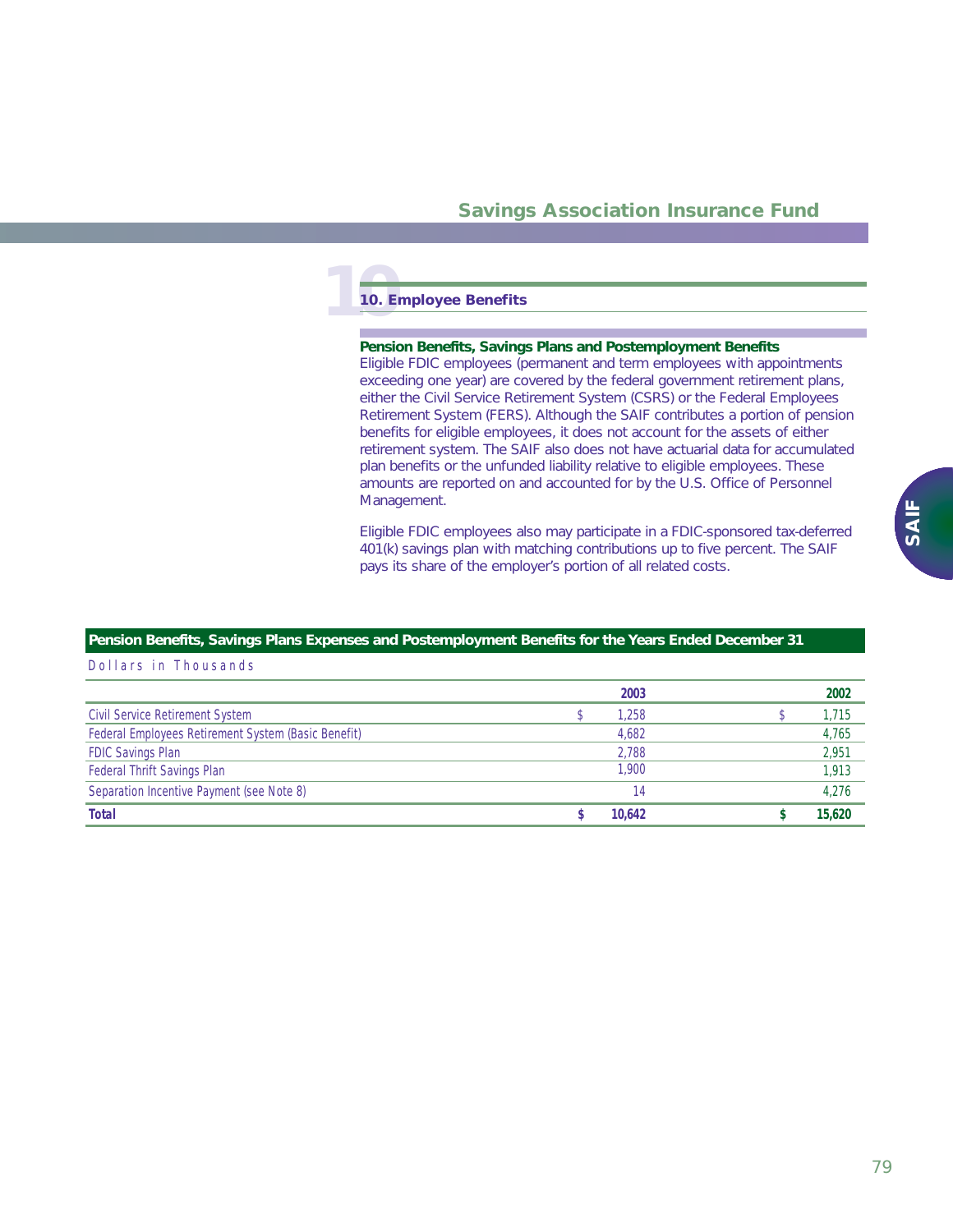# **10. Em 10. Employee Benefits**

#### **Pension Benefits, Savings Plans and Postemployment Benefits**

Eligible FDIC employees (permanent and term employees with appointments exceeding one year) are covered by the federal government retirement plans, either the Civil Service Retirement System (CSRS) or the Federal Employees Retirement System (FERS). Although the SAIF contributes a portion of pension benefits for eligible employees, it does not account for the assets of either retirement system. The SAIF also does not have actuarial data for accumulated plan benefits or the unfunded liability relative to eligible employees. These amounts are reported on and accounted for by the U.S. Office of Personnel Management.

Eligible FDIC employees also may participate in a FDIC-sponsored tax-deferred 401(k) savings plan with matching contributions up to five percent. The SAIF pays its share of the employer's portion of all related costs.

#### **Pension Benefits, Savings Plans Expenses and Postemployment Benefits for the Years Ended December 31**

|                                                     | 2003   | 2002   |
|-----------------------------------------------------|--------|--------|
| <b>Civil Service Retirement System</b>              | 1,258  | 1,715  |
| Federal Employees Retirement System (Basic Benefit) | 4,682  | 4,765  |
| <b>FDIC Savings Plan</b>                            | 2,788  | 2,951  |
| Federal Thrift Savings Plan                         | 1.900  | 1,913  |
| Separation Incentive Payment (see Note 8)           | 14     | 4.276  |
| <b>Total</b>                                        | 10.642 | 15.620 |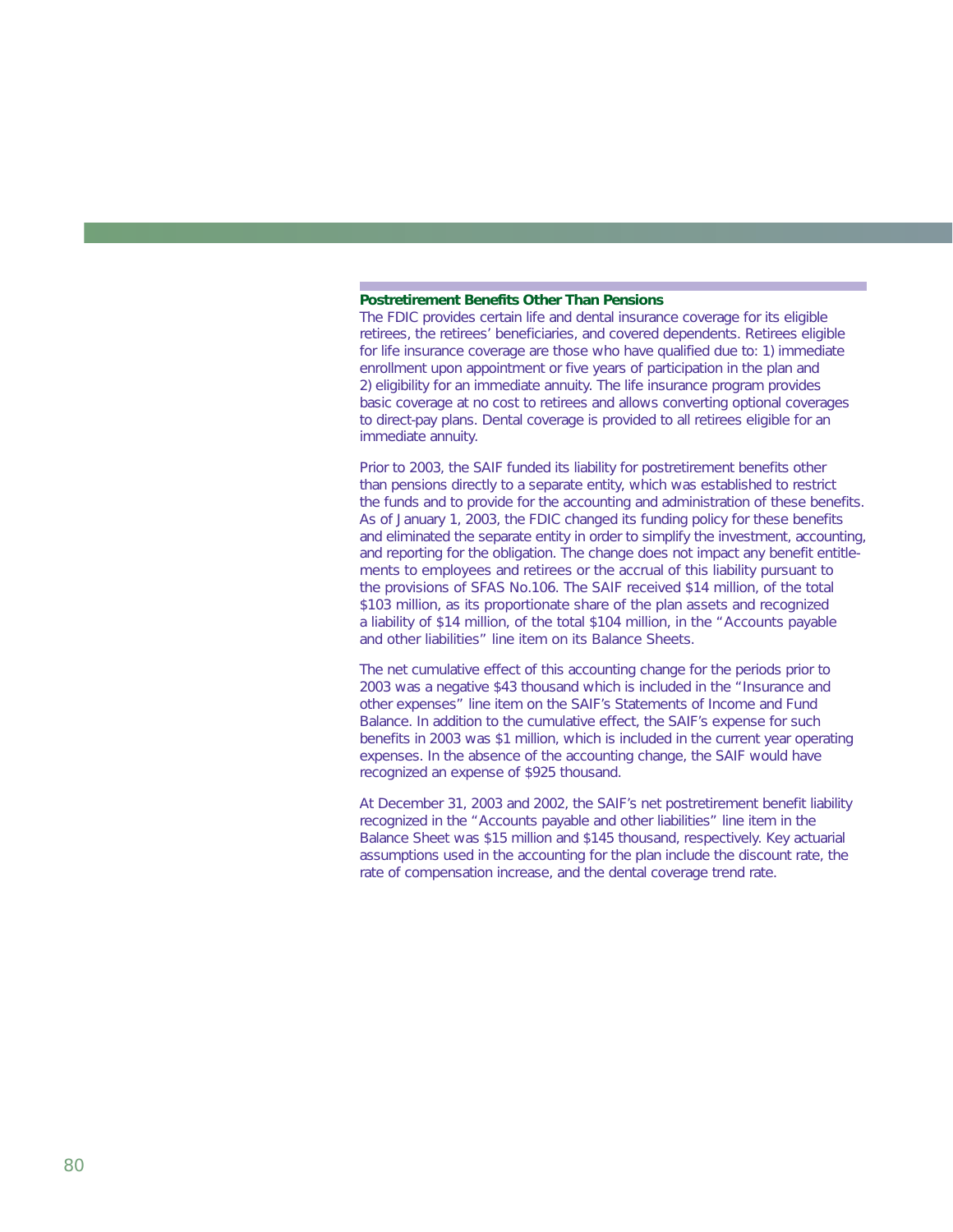#### **Postretirement Benefits Other Than Pensions**

The FDIC provides certain life and dental insurance coverage for its eligible retirees, the retirees' beneficiaries, and covered dependents. Retirees eligible for life insurance coverage are those who have qualified due to: 1) immediate enrollment upon appointment or five years of participation in the plan and 2) eligibility for an immediate annuity. The life insurance program provides basic coverage at no cost to retirees and allows converting optional coverages to direct-pay plans. Dental coverage is provided to all retirees eligible for an immediate annuity.

Prior to 2003, the SAIF funded its liability for postretirement benefits other than pensions directly to a separate entity, which was established to restrict the funds and to provide for the accounting and administration of these benefits. As of January 1, 2003, the FDIC changed its funding policy for these benefits and eliminated the separate entity in order to simplify the investment, accounting, and reporting for the obligation. The change does not impact any benefit entitlements to employees and retirees or the accrual of this liability pursuant to the provisions of SFAS No.106. The SAIF received \$14 million, of the total \$103 million, as its proportionate share of the plan assets and recognized a liability of \$14 million, of the total \$104 million, in the "Accounts payable and other liabilities" line item on its Balance Sheets.

The net cumulative effect of this accounting change for the periods prior to 2003 was a negative \$43 thousand which is included in the "Insurance and other expenses" line item on the SAIF's Statements of Income and Fund Balance. In addition to the cumulative effect, the SAIF's expense for such benefits in 2003 was \$1 million, which is included in the current year operating expenses. In the absence of the accounting change, the SAIF would have recognized an expense of \$925 thousand.

At December 31, 2003 and 2002, the SAIF's net postretirement benefit liability recognized in the "Accounts payable and other liabilities" line item in the Balance Sheet was \$15 million and \$145 thousand, respectively. Key actuarial assumptions used in the accounting for the plan include the discount rate, the rate of compensation increase, and the dental coverage trend rate.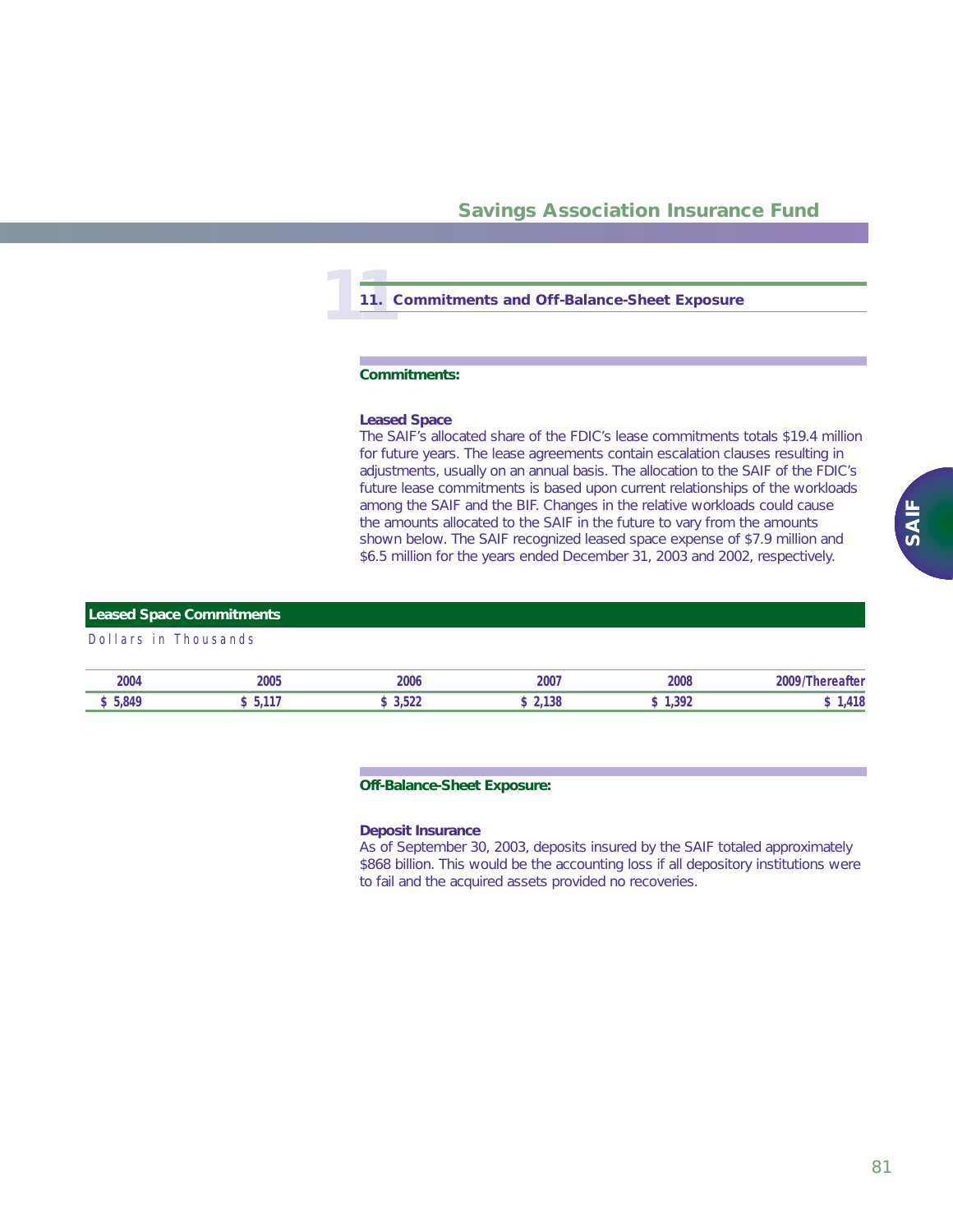# **11 11. Commitments and Off-Balance-Sheet Exposure**

#### **Commitments:**

#### *Leased Space*

The SAIF's allocated share of the FDIC's lease commitments totals \$19.4 million for future years. The lease agreements contain escalation clauses resulting in adjustments, usually on an annual basis. The allocation to the SAIF of the FDIC's future lease commitments is based upon current relationships of the workloads among the SAIF and the BIF. Changes in the relative workloads could cause the amounts allocated to the SAIF in the future to vary from the amounts shown below. The SAIF recognized leased space expense of \$7.9 million and \$6.5 million for the years ended December 31, 2003 and 2002, respectively.

### **Leased Space Commitments**

#### Dollars in Thousands

| 2004         | ገለሰሮ<br>ะบบว | 2006 | 2007 | 2008 | பே |
|--------------|--------------|------|------|------|----|
| $\mathbf{A}$ |              |      | ıэc  | 72ء, | .  |

#### **Off-Balance-Sheet Exposure:**

#### *Deposit Insurance*

As of September 30, 2003, deposits insured by the SAIF totaled approximately \$868 billion. This would be the accounting loss if all depository institutions were to fail and the acquired assets provided no recoveries.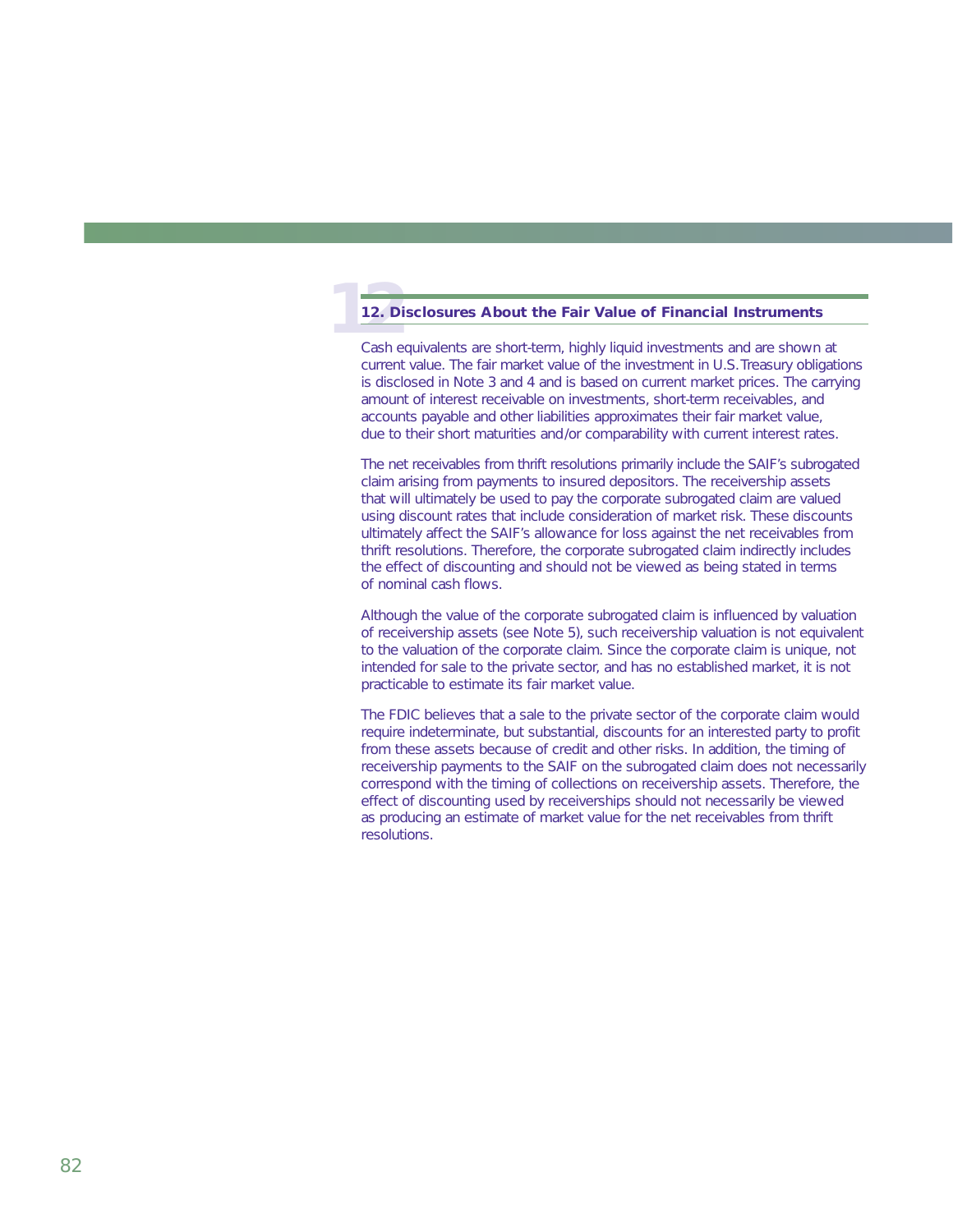#### **1212. Disclosures About the Fair Value of Financial Instruments**

Cash equivalents are short-term, highly liquid investments and are shown at current value. The fair market value of the investment in U.S.Treasury obligations is disclosed in Note 3 and 4 and is based on current market prices. The carrying amount of interest receivable on investments, short-term receivables, and accounts payable and other liabilities approximates their fair market value, due to their short maturities and/or comparability with current interest rates.

The net receivables from thrift resolutions primarily include the SAIF's subrogated claim arising from payments to insured depositors. The receivership assets that will ultimately be used to pay the corporate subrogated claim are valued using discount rates that include consideration of market risk. These discounts ultimately affect the SAIF's allowance for loss against the net receivables from thrift resolutions. Therefore, the corporate subrogated claim indirectly includes the effect of discounting and should not be viewed as being stated in terms of nominal cash flows.

Although the value of the corporate subrogated claim is influenced by valuation of receivership assets (see Note 5), such receivership valuation is not equivalent to the valuation of the corporate claim. Since the corporate claim is unique, not intended for sale to the private sector, and has no established market, it is not practicable to estimate its fair market value.

The FDIC believes that a sale to the private sector of the corporate claim would require indeterminate, but substantial, discounts for an interested party to profit from these assets because of credit and other risks. In addition, the timing of receivership payments to the SAIF on the subrogated claim does not necessarily correspond with the timing of collections on receivership assets. Therefore, the effect of discounting used by receiverships should not necessarily be viewed as producing an estimate of market value for the net receivables from thrift resolutions.